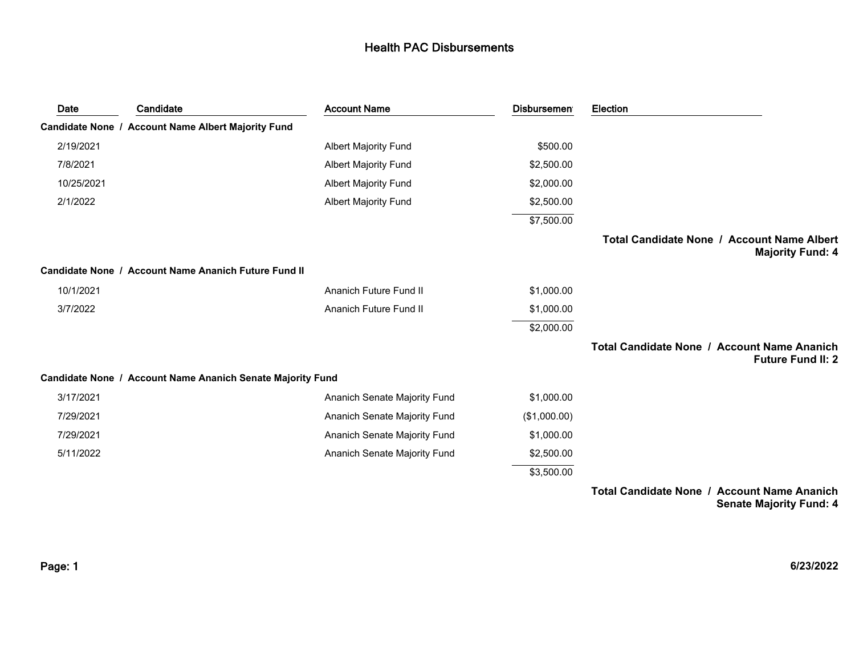| Date       | Candidate                                                  | <b>Account Name</b>           | <b>Disbursemen</b> | Election                                                                |
|------------|------------------------------------------------------------|-------------------------------|--------------------|-------------------------------------------------------------------------|
|            | Candidate None / Account Name Albert Majority Fund         |                               |                    |                                                                         |
| 2/19/2021  |                                                            | <b>Albert Majority Fund</b>   | \$500.00           |                                                                         |
| 7/8/2021   |                                                            | <b>Albert Majority Fund</b>   | \$2,500.00         |                                                                         |
| 10/25/2021 |                                                            | <b>Albert Majority Fund</b>   | \$2,000.00         |                                                                         |
| 2/1/2022   |                                                            | <b>Albert Majority Fund</b>   | \$2,500.00         |                                                                         |
|            |                                                            |                               | \$7,500.00         |                                                                         |
|            |                                                            |                               |                    | Total Candidate None / Account Name Albert<br><b>Majority Fund: 4</b>   |
|            | Candidate None / Account Name Ananich Future Fund II       |                               |                    |                                                                         |
| 10/1/2021  |                                                            | <b>Ananich Future Fund II</b> | \$1,000.00         |                                                                         |
| 3/7/2022   |                                                            | Ananich Future Fund II        | \$1,000.00         |                                                                         |
|            |                                                            |                               | \$2,000.00         |                                                                         |
|            |                                                            |                               |                    | Total Candidate None / Account Name Ananich<br><b>Future Fund II: 2</b> |
|            | Candidate None / Account Name Ananich Senate Majority Fund |                               |                    |                                                                         |
| 3/17/2021  |                                                            | Ananich Senate Majority Fund  | \$1,000.00         |                                                                         |
| 7/29/2021  |                                                            | Ananich Senate Majority Fund  | (\$1,000.00)       |                                                                         |
| 7/29/2021  |                                                            | Ananich Senate Majority Fund  | \$1,000.00         |                                                                         |
| 5/11/2022  |                                                            | Ananich Senate Majority Fund  | \$2,500.00         |                                                                         |
|            |                                                            |                               | \$3,500.00         |                                                                         |

**Total Candidate None / Account Name Ananich Senate Majority Fund: 4**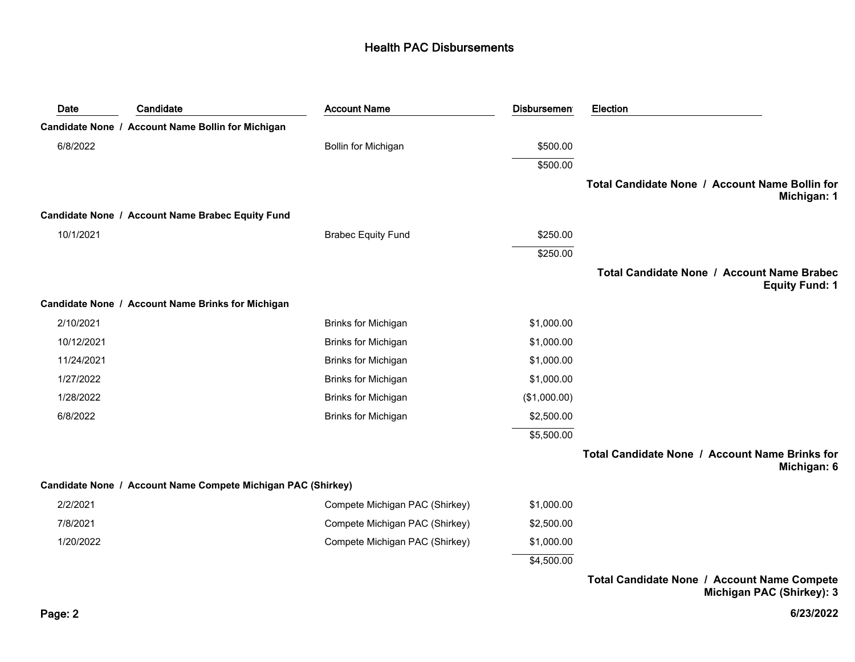| Date       | Candidate                                                    | <b>Account Name</b>            | <b>Disbursement</b> | Election                                                                   |
|------------|--------------------------------------------------------------|--------------------------------|---------------------|----------------------------------------------------------------------------|
|            | Candidate None / Account Name Bollin for Michigan            |                                |                     |                                                                            |
| 6/8/2022   |                                                              | Bollin for Michigan            | \$500.00            |                                                                            |
|            |                                                              |                                | \$500.00            |                                                                            |
|            |                                                              |                                |                     | Total Candidate None / Account Name Bollin for<br>Michigan: 1              |
|            | Candidate None / Account Name Brabec Equity Fund             |                                |                     |                                                                            |
| 10/1/2021  |                                                              | <b>Brabec Equity Fund</b>      | \$250.00            |                                                                            |
|            |                                                              |                                | \$250.00            |                                                                            |
|            |                                                              |                                |                     | <b>Total Candidate None / Account Name Brabec</b><br><b>Equity Fund: 1</b> |
|            | Candidate None / Account Name Brinks for Michigan            |                                |                     |                                                                            |
| 2/10/2021  |                                                              | <b>Brinks for Michigan</b>     | \$1,000.00          |                                                                            |
| 10/12/2021 |                                                              | <b>Brinks for Michigan</b>     | \$1,000.00          |                                                                            |
| 11/24/2021 |                                                              | Brinks for Michigan            | \$1,000.00          |                                                                            |
| 1/27/2022  |                                                              | <b>Brinks for Michigan</b>     | \$1,000.00          |                                                                            |
| 1/28/2022  |                                                              | <b>Brinks for Michigan</b>     | (\$1,000.00)        |                                                                            |
| 6/8/2022   |                                                              | <b>Brinks for Michigan</b>     | \$2,500.00          |                                                                            |
|            |                                                              |                                | \$5,500.00          |                                                                            |
|            |                                                              |                                |                     | Total Candidate None / Account Name Brinks for<br>Michigan: 6              |
|            | Candidate None / Account Name Compete Michigan PAC (Shirkey) |                                |                     |                                                                            |
| 2/2/2021   |                                                              | Compete Michigan PAC (Shirkey) | \$1,000.00          |                                                                            |
| 7/8/2021   |                                                              | Compete Michigan PAC (Shirkey) | \$2,500.00          |                                                                            |
| 1/20/2022  |                                                              | Compete Michigan PAC (Shirkey) | \$1,000.00          |                                                                            |
|            |                                                              |                                | \$4,500.00          |                                                                            |
|            |                                                              |                                |                     |                                                                            |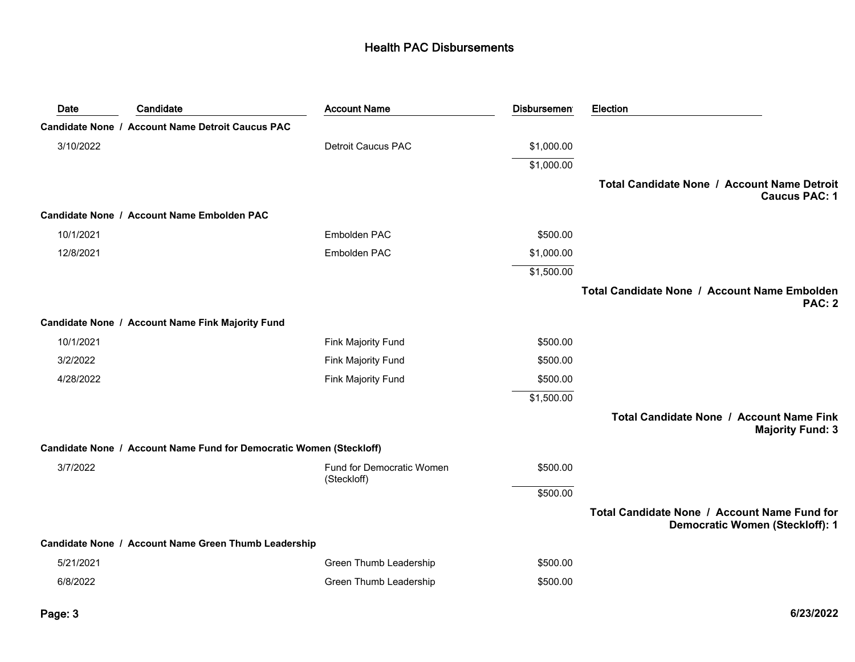| Date      | Candidate                                                           | <b>Account Name</b>                      | <b>Disbursemen</b> | Election                                                                               |
|-----------|---------------------------------------------------------------------|------------------------------------------|--------------------|----------------------------------------------------------------------------------------|
|           | <b>Candidate None / Account Name Detroit Caucus PAC</b>             |                                          |                    |                                                                                        |
| 3/10/2022 |                                                                     | <b>Detroit Caucus PAC</b>                | \$1,000.00         |                                                                                        |
|           |                                                                     |                                          | \$1,000.00         |                                                                                        |
|           |                                                                     |                                          |                    | Total Candidate None / Account Name Detroit<br><b>Caucus PAC: 1</b>                    |
|           | Candidate None / Account Name Embolden PAC                          |                                          |                    |                                                                                        |
| 10/1/2021 |                                                                     | Embolden PAC                             | \$500.00           |                                                                                        |
| 12/8/2021 |                                                                     | Embolden PAC                             | \$1,000.00         |                                                                                        |
|           |                                                                     |                                          | \$1,500.00         |                                                                                        |
|           |                                                                     |                                          |                    | Total Candidate None / Account Name Embolden<br><b>PAC: 2</b>                          |
|           | Candidate None / Account Name Fink Majority Fund                    |                                          |                    |                                                                                        |
| 10/1/2021 |                                                                     | Fink Majority Fund                       | \$500.00           |                                                                                        |
| 3/2/2022  |                                                                     | Fink Majority Fund                       | \$500.00           |                                                                                        |
| 4/28/2022 |                                                                     | <b>Fink Majority Fund</b>                | \$500.00           |                                                                                        |
|           |                                                                     |                                          | \$1,500.00         |                                                                                        |
|           |                                                                     |                                          |                    | Total Candidate None / Account Name Fink<br><b>Majority Fund: 3</b>                    |
|           | Candidate None / Account Name Fund for Democratic Women (Steckloff) |                                          |                    |                                                                                        |
| 3/7/2022  |                                                                     | Fund for Democratic Women<br>(Steckloff) | \$500.00           |                                                                                        |
|           |                                                                     |                                          | \$500.00           |                                                                                        |
|           |                                                                     |                                          |                    | Total Candidate None / Account Name Fund for<br><b>Democratic Women (Steckloff): 1</b> |
|           | Candidate None / Account Name Green Thumb Leadership                |                                          |                    |                                                                                        |
| 5/21/2021 |                                                                     | Green Thumb Leadership                   | \$500.00           |                                                                                        |
| 6/8/2022  |                                                                     | Green Thumb Leadership                   | \$500.00           |                                                                                        |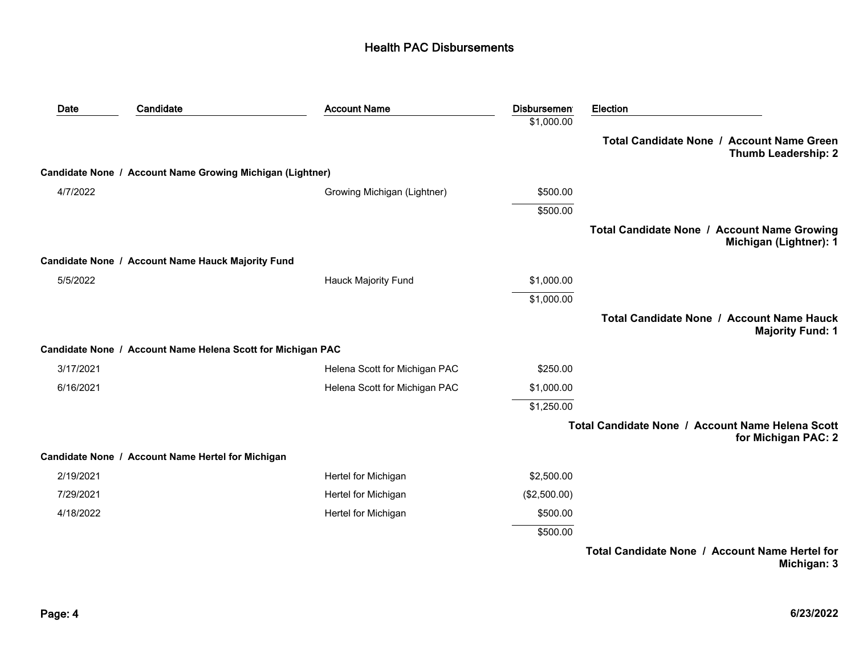| Date      | Candidate                                                   | <b>Account Name</b>           | <b>Disbursement</b> | <b>Election</b>                                                         |
|-----------|-------------------------------------------------------------|-------------------------------|---------------------|-------------------------------------------------------------------------|
|           |                                                             |                               | \$1,000.00          |                                                                         |
|           |                                                             |                               |                     | Total Candidate None / Account Name Green<br><b>Thumb Leadership: 2</b> |
|           | Candidate None / Account Name Growing Michigan (Lightner)   |                               |                     |                                                                         |
| 4/7/2022  |                                                             | Growing Michigan (Lightner)   | \$500.00            |                                                                         |
|           |                                                             |                               | \$500.00            |                                                                         |
|           |                                                             |                               |                     | Total Candidate None / Account Name Growing<br>Michigan (Lightner): 1   |
|           | Candidate None / Account Name Hauck Majority Fund           |                               |                     |                                                                         |
| 5/5/2022  |                                                             | <b>Hauck Majority Fund</b>    | \$1,000.00          |                                                                         |
|           |                                                             |                               | \$1,000.00          |                                                                         |
|           |                                                             |                               |                     | Total Candidate None / Account Name Hauck<br><b>Majority Fund: 1</b>    |
|           | Candidate None / Account Name Helena Scott for Michigan PAC |                               |                     |                                                                         |
| 3/17/2021 |                                                             | Helena Scott for Michigan PAC | \$250.00            |                                                                         |
| 6/16/2021 |                                                             | Helena Scott for Michigan PAC | \$1,000.00          |                                                                         |
|           |                                                             |                               | \$1,250.00          |                                                                         |
|           |                                                             |                               |                     | Total Candidate None / Account Name Helena Scott<br>for Michigan PAC: 2 |
|           | Candidate None / Account Name Hertel for Michigan           |                               |                     |                                                                         |
| 2/19/2021 |                                                             | Hertel for Michigan           | \$2,500.00          |                                                                         |
| 7/29/2021 |                                                             | Hertel for Michigan           | (\$2,500.00)        |                                                                         |
| 4/18/2022 |                                                             | Hertel for Michigan           | \$500.00            |                                                                         |
|           |                                                             |                               | \$500.00            |                                                                         |
|           |                                                             |                               |                     | Total Candidate None / Account Name Hertel for                          |

**Michigan: 3**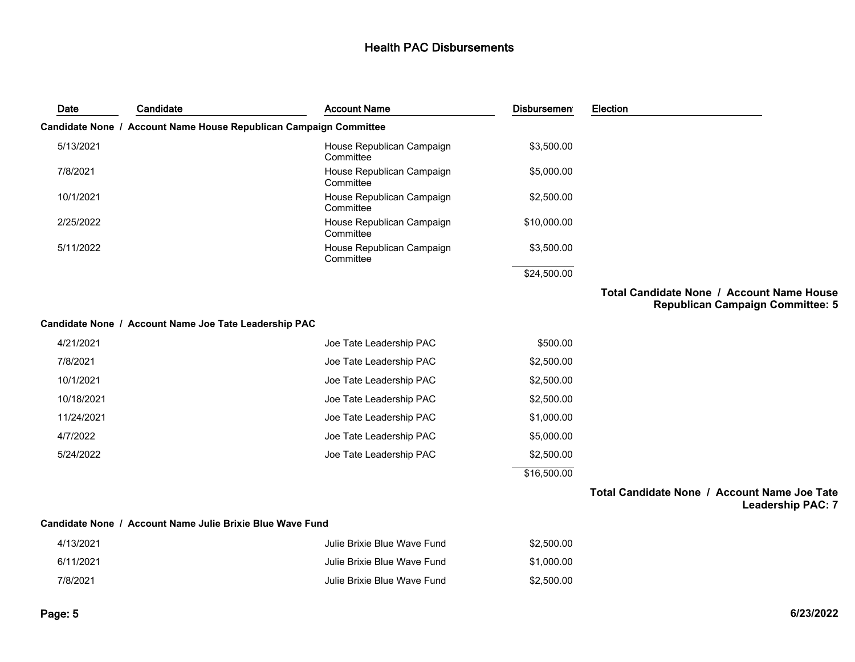| Date       | Candidate                                                 | <b>Account Name</b>                                               | <b>Disbursemen</b> | Election                                                                             |
|------------|-----------------------------------------------------------|-------------------------------------------------------------------|--------------------|--------------------------------------------------------------------------------------|
|            |                                                           | Candidate None / Account Name House Republican Campaign Committee |                    |                                                                                      |
| 5/13/2021  |                                                           | House Republican Campaign<br>Committee                            | \$3,500.00         |                                                                                      |
| 7/8/2021   |                                                           | House Republican Campaign<br>Committee                            | \$5,000.00         |                                                                                      |
| 10/1/2021  |                                                           | House Republican Campaign<br>Committee                            | \$2,500.00         |                                                                                      |
| 2/25/2022  |                                                           | House Republican Campaign<br>Committee                            | \$10,000.00        |                                                                                      |
| 5/11/2022  |                                                           | House Republican Campaign<br>Committee                            | \$3,500.00         |                                                                                      |
|            |                                                           |                                                                   | \$24,500.00        |                                                                                      |
|            |                                                           |                                                                   |                    | Total Candidate None / Account Name House<br><b>Republican Campaign Committee: 5</b> |
|            | Candidate None / Account Name Joe Tate Leadership PAC     |                                                                   |                    |                                                                                      |
| 4/21/2021  |                                                           | Joe Tate Leadership PAC                                           | \$500.00           |                                                                                      |
| 7/8/2021   |                                                           | Joe Tate Leadership PAC                                           | \$2,500.00         |                                                                                      |
| 10/1/2021  |                                                           | Joe Tate Leadership PAC                                           | \$2,500.00         |                                                                                      |
| 10/18/2021 |                                                           | Joe Tate Leadership PAC                                           | \$2,500.00         |                                                                                      |
| 11/24/2021 |                                                           | Joe Tate Leadership PAC                                           | \$1,000.00         |                                                                                      |
| 4/7/2022   |                                                           | Joe Tate Leadership PAC                                           | \$5,000.00         |                                                                                      |
| 5/24/2022  |                                                           | Joe Tate Leadership PAC                                           | \$2,500.00         |                                                                                      |
|            |                                                           |                                                                   | \$16,500.00        |                                                                                      |
|            |                                                           |                                                                   |                    | Total Candidate None / Account Name Joe Tate<br><b>Leadership PAC: 7</b>             |
|            | Candidate None / Account Name Julie Brixie Blue Wave Fund |                                                                   |                    |                                                                                      |
| 4/13/2021  |                                                           | - Iulie Brixie Blue Wave Fund                                     | \$2.500.00.        |                                                                                      |

| 4/13/2021 | Julie Brixie Blue Wave Fund | \$2.500.00 |
|-----------|-----------------------------|------------|
| 6/11/2021 | Julie Brixie Blue Wave Fund | \$1.000.00 |
| 7/8/2021  | Julie Brixie Blue Wave Fund | \$2.500.00 |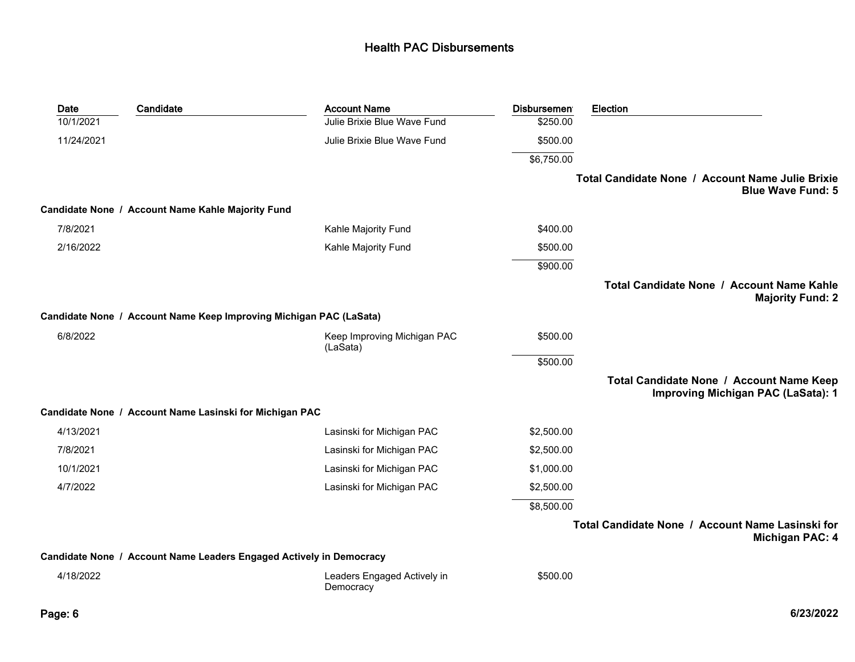| <b>Date</b> | Candidate                                                           | <b>Account Name</b>                      | <b>Disbursemen</b> | Election                                                                       |
|-------------|---------------------------------------------------------------------|------------------------------------------|--------------------|--------------------------------------------------------------------------------|
| 10/1/2021   |                                                                     | Julie Brixie Blue Wave Fund              | \$250.00           |                                                                                |
| 11/24/2021  |                                                                     | Julie Brixie Blue Wave Fund              | \$500.00           |                                                                                |
|             |                                                                     |                                          | \$6,750.00         |                                                                                |
|             |                                                                     |                                          |                    | Total Candidate None / Account Name Julie Brixie<br><b>Blue Wave Fund: 5</b>   |
|             | Candidate None / Account Name Kahle Majority Fund                   |                                          |                    |                                                                                |
| 7/8/2021    |                                                                     | Kahle Majority Fund                      | \$400.00           |                                                                                |
| 2/16/2022   |                                                                     | Kahle Majority Fund                      | \$500.00           |                                                                                |
|             |                                                                     |                                          | \$900.00           |                                                                                |
|             |                                                                     |                                          |                    | Total Candidate None / Account Name Kahle<br><b>Majority Fund: 2</b>           |
|             | Candidate None / Account Name Keep Improving Michigan PAC (LaSata)  |                                          |                    |                                                                                |
| 6/8/2022    |                                                                     | Keep Improving Michigan PAC<br>(LaSata)  | \$500.00           |                                                                                |
|             |                                                                     |                                          | \$500.00           |                                                                                |
|             |                                                                     |                                          |                    | Total Candidate None / Account Name Keep<br>Improving Michigan PAC (LaSata): 1 |
|             | Candidate None / Account Name Lasinski for Michigan PAC             |                                          |                    |                                                                                |
| 4/13/2021   |                                                                     | Lasinski for Michigan PAC                | \$2,500.00         |                                                                                |
| 7/8/2021    |                                                                     | Lasinski for Michigan PAC                | \$2,500.00         |                                                                                |
| 10/1/2021   |                                                                     | Lasinski for Michigan PAC                | \$1,000.00         |                                                                                |
| 4/7/2022    |                                                                     | Lasinski for Michigan PAC                | \$2,500.00         |                                                                                |
|             |                                                                     |                                          | \$8,500.00         |                                                                                |
|             |                                                                     |                                          |                    | Total Candidate None / Account Name Lasinski for<br><b>Michigan PAC: 4</b>     |
|             | Candidate None / Account Name Leaders Engaged Actively in Democracy |                                          |                    |                                                                                |
| 4/18/2022   |                                                                     | Leaders Engaged Actively in<br>Democracy | \$500.00           |                                                                                |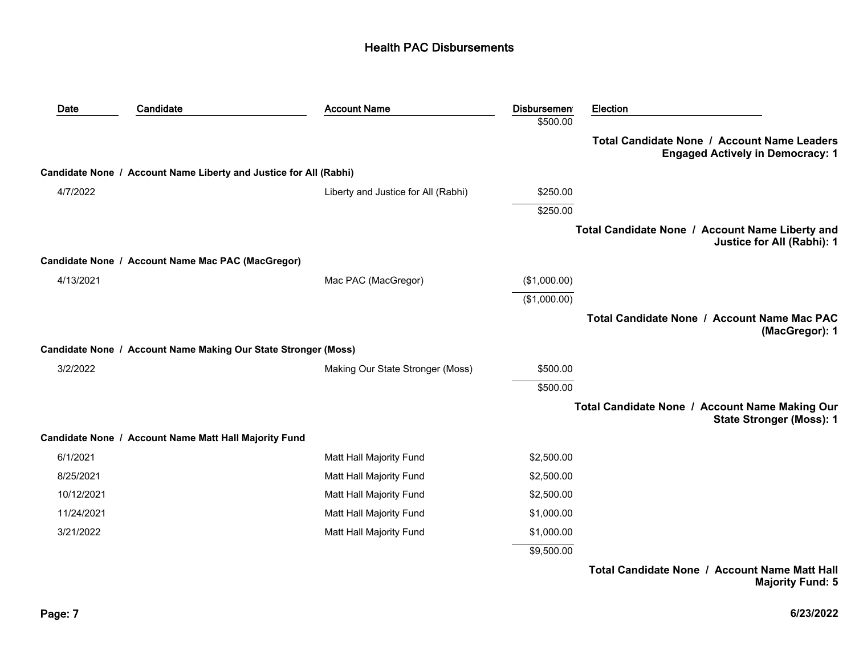| Date       | Candidate                                                         | <b>Account Name</b>                 | <b>Disbursemen</b> | <b>Election</b>                                                                        |
|------------|-------------------------------------------------------------------|-------------------------------------|--------------------|----------------------------------------------------------------------------------------|
|            |                                                                   |                                     | \$500.00           |                                                                                        |
|            |                                                                   |                                     |                    | Total Candidate None / Account Name Leaders<br><b>Engaged Actively in Democracy: 1</b> |
|            | Candidate None / Account Name Liberty and Justice for All (Rabhi) |                                     |                    |                                                                                        |
| 4/7/2022   |                                                                   | Liberty and Justice for All (Rabhi) | \$250.00           |                                                                                        |
|            |                                                                   |                                     | \$250.00           |                                                                                        |
|            |                                                                   |                                     |                    | Total Candidate None / Account Name Liberty and<br>Justice for All (Rabhi): 1          |
|            | Candidate None / Account Name Mac PAC (MacGregor)                 |                                     |                    |                                                                                        |
| 4/13/2021  |                                                                   | Mac PAC (MacGregor)                 | (\$1,000.00)       |                                                                                        |
|            |                                                                   |                                     | (\$1,000.00)       |                                                                                        |
|            |                                                                   |                                     |                    | Total Candidate None / Account Name Mac PAC<br>(MacGregor): 1                          |
|            | Candidate None / Account Name Making Our State Stronger (Moss)    |                                     |                    |                                                                                        |
| 3/2/2022   |                                                                   | Making Our State Stronger (Moss)    | \$500.00           |                                                                                        |
|            |                                                                   |                                     | \$500.00           |                                                                                        |
|            |                                                                   |                                     |                    | Total Candidate None / Account Name Making Our<br><b>State Stronger (Moss): 1</b>      |
|            | Candidate None / Account Name Matt Hall Majority Fund             |                                     |                    |                                                                                        |
| 6/1/2021   |                                                                   | Matt Hall Majority Fund             | \$2,500.00         |                                                                                        |
| 8/25/2021  |                                                                   | Matt Hall Majority Fund             | \$2,500.00         |                                                                                        |
| 10/12/2021 |                                                                   | Matt Hall Majority Fund             | \$2,500.00         |                                                                                        |
| 11/24/2021 |                                                                   | Matt Hall Majority Fund             | \$1,000.00         |                                                                                        |
| 3/21/2022  |                                                                   | Matt Hall Majority Fund             | \$1,000.00         |                                                                                        |
|            |                                                                   |                                     | \$9,500.00         |                                                                                        |
|            |                                                                   |                                     |                    | Total Candidate None / Account Name Matt Hall<br><b>Majority Fund: 5</b>               |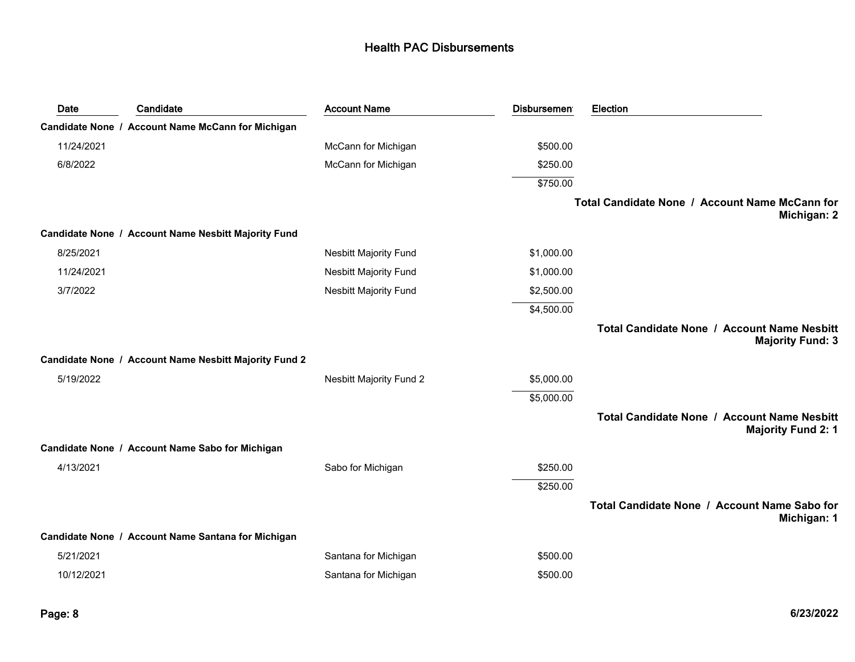| Date       | Candidate                                             | <b>Account Name</b>            | <b>Disbursemen</b> | Election                                                                      |
|------------|-------------------------------------------------------|--------------------------------|--------------------|-------------------------------------------------------------------------------|
|            | Candidate None / Account Name McCann for Michigan     |                                |                    |                                                                               |
| 11/24/2021 |                                                       | McCann for Michigan            | \$500.00           |                                                                               |
| 6/8/2022   |                                                       | McCann for Michigan            | \$250.00           |                                                                               |
|            |                                                       |                                | \$750.00           |                                                                               |
|            |                                                       |                                |                    | Total Candidate None / Account Name McCann for<br>Michigan: 2                 |
|            | Candidate None / Account Name Nesbitt Majority Fund   |                                |                    |                                                                               |
| 8/25/2021  |                                                       | <b>Nesbitt Majority Fund</b>   | \$1,000.00         |                                                                               |
| 11/24/2021 |                                                       | <b>Nesbitt Majority Fund</b>   | \$1,000.00         |                                                                               |
| 3/7/2022   |                                                       | <b>Nesbitt Majority Fund</b>   | \$2,500.00         |                                                                               |
|            |                                                       |                                | \$4,500.00         |                                                                               |
|            |                                                       |                                |                    | <b>Total Candidate None / Account Name Nesbitt</b><br><b>Majority Fund: 3</b> |
|            | Candidate None / Account Name Nesbitt Majority Fund 2 |                                |                    |                                                                               |
| 5/19/2022  |                                                       | <b>Nesbitt Majority Fund 2</b> | \$5,000.00         |                                                                               |
|            |                                                       |                                | \$5,000.00         |                                                                               |
|            |                                                       |                                |                    | Total Candidate None / Account Name Nesbitt<br><b>Majority Fund 2: 1</b>      |
|            | Candidate None / Account Name Sabo for Michigan       |                                |                    |                                                                               |
| 4/13/2021  |                                                       | Sabo for Michigan              | \$250.00           |                                                                               |
|            |                                                       |                                | \$250.00           |                                                                               |
|            |                                                       |                                |                    | Total Candidate None / Account Name Sabo for<br>Michigan: 1                   |
|            | Candidate None / Account Name Santana for Michigan    |                                |                    |                                                                               |
| 5/21/2021  |                                                       | Santana for Michigan           | \$500.00           |                                                                               |
| 10/12/2021 |                                                       | Santana for Michigan           | \$500.00           |                                                                               |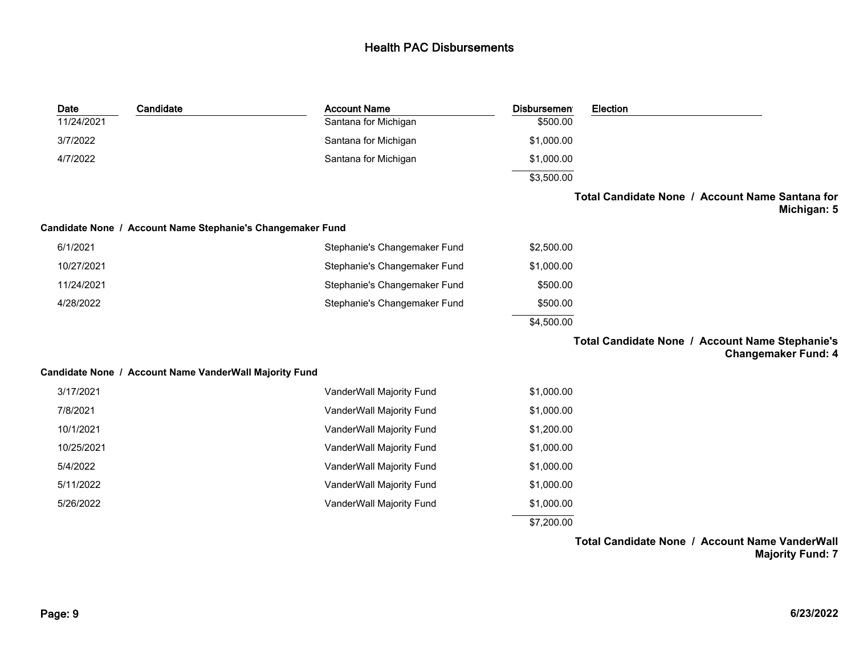| Date       | Candidate                                                  | <b>Account Name</b>          | <b>Disbursemen</b> | Election                                                                      |
|------------|------------------------------------------------------------|------------------------------|--------------------|-------------------------------------------------------------------------------|
| 11/24/2021 |                                                            | Santana for Michigan         | \$500.00           |                                                                               |
| 3/7/2022   |                                                            | Santana for Michigan         | \$1,000.00         |                                                                               |
| 4/7/2022   |                                                            | Santana for Michigan         | \$1,000.00         |                                                                               |
|            |                                                            |                              | \$3,500.00         |                                                                               |
|            |                                                            |                              |                    | Total Candidate None / Account Name Santana for<br>Michigan: 5                |
|            | Candidate None / Account Name Stephanie's Changemaker Fund |                              |                    |                                                                               |
| 6/1/2021   |                                                            | Stephanie's Changemaker Fund | \$2,500.00         |                                                                               |
| 10/27/2021 |                                                            | Stephanie's Changemaker Fund | \$1,000.00         |                                                                               |
| 11/24/2021 |                                                            | Stephanie's Changemaker Fund | \$500.00           |                                                                               |
| 4/28/2022  |                                                            | Stephanie's Changemaker Fund | \$500.00           |                                                                               |
|            |                                                            |                              | \$4,500.00         |                                                                               |
|            |                                                            |                              |                    | Total Candidate None / Account Name Stephanie's<br><b>Changemaker Fund: 4</b> |
|            | Candidate None / Account Name VanderWall Majority Fund     |                              |                    |                                                                               |
| 3/17/2021  |                                                            | VanderWall Majority Fund     | \$1,000.00         |                                                                               |
| 7/8/2021   |                                                            | VanderWall Majority Fund     | \$1,000.00         |                                                                               |
| 10/1/2021  |                                                            | VanderWall Majority Fund     | \$1,200.00         |                                                                               |
| 10/25/2021 |                                                            | VanderWall Majority Fund     | \$1,000.00         |                                                                               |
| 5/4/2022   |                                                            | VanderWall Majority Fund     | \$1,000.00         |                                                                               |
| 5/11/2022  |                                                            | VanderWall Majority Fund     | \$1,000.00         |                                                                               |
| 5/26/2022  |                                                            | VanderWall Majority Fund     | \$1,000.00         |                                                                               |
|            |                                                            |                              | \$7,200.00         |                                                                               |
|            |                                                            |                              |                    |                                                                               |

**Total Candidate None / Account Name VanderWall Majority Fund: 7**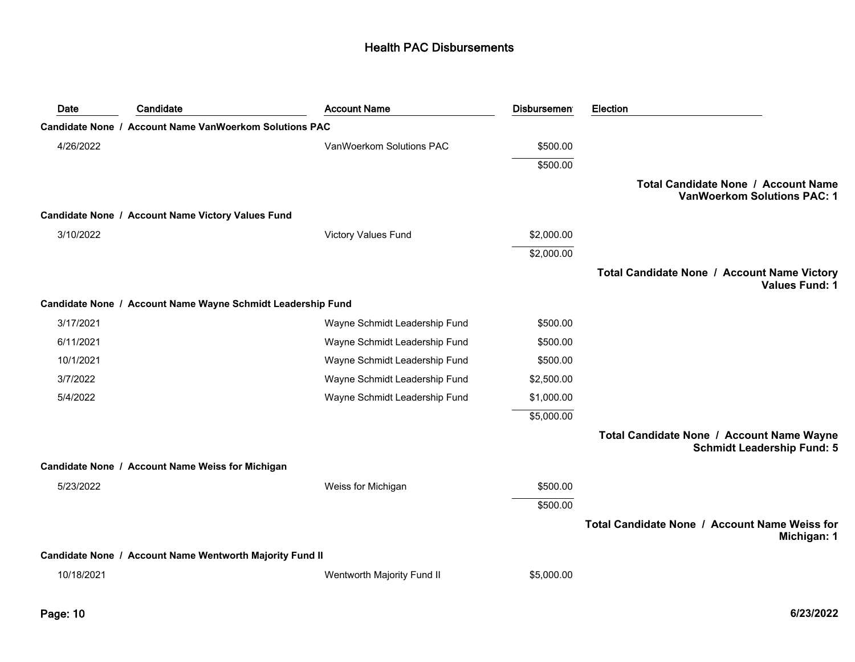| Date       | Candidate                                                   | <b>Account Name</b>           | <b>Disbursement</b> | Election                                                                       |
|------------|-------------------------------------------------------------|-------------------------------|---------------------|--------------------------------------------------------------------------------|
|            | Candidate None / Account Name VanWoerkom Solutions PAC      |                               |                     |                                                                                |
| 4/26/2022  |                                                             | VanWoerkom Solutions PAC      | \$500.00            |                                                                                |
|            |                                                             |                               | \$500.00            |                                                                                |
|            |                                                             |                               |                     | Total Candidate None / Account Name<br><b>VanWoerkom Solutions PAC: 1</b>      |
|            | Candidate None / Account Name Victory Values Fund           |                               |                     |                                                                                |
| 3/10/2022  |                                                             | <b>Victory Values Fund</b>    | \$2,000.00          |                                                                                |
|            |                                                             |                               | \$2,000.00          |                                                                                |
|            |                                                             |                               |                     | Total Candidate None / Account Name Victory<br><b>Values Fund: 1</b>           |
|            | Candidate None / Account Name Wayne Schmidt Leadership Fund |                               |                     |                                                                                |
| 3/17/2021  |                                                             | Wayne Schmidt Leadership Fund | \$500.00            |                                                                                |
| 6/11/2021  |                                                             | Wayne Schmidt Leadership Fund | \$500.00            |                                                                                |
| 10/1/2021  |                                                             | Wayne Schmidt Leadership Fund | \$500.00            |                                                                                |
| 3/7/2022   |                                                             | Wayne Schmidt Leadership Fund | \$2,500.00          |                                                                                |
| 5/4/2022   |                                                             | Wayne Schmidt Leadership Fund | \$1,000.00          |                                                                                |
|            |                                                             |                               | \$5,000.00          |                                                                                |
|            |                                                             |                               |                     | Total Candidate None / Account Name Wayne<br><b>Schmidt Leadership Fund: 5</b> |
|            | Candidate None / Account Name Weiss for Michigan            |                               |                     |                                                                                |
| 5/23/2022  |                                                             | Weiss for Michigan            | \$500.00            |                                                                                |
|            |                                                             |                               | \$500.00            |                                                                                |
|            |                                                             |                               |                     | Total Candidate None / Account Name Weiss for<br>Michigan: 1                   |
|            | Candidate None / Account Name Wentworth Majority Fund II    |                               |                     |                                                                                |
| 10/18/2021 |                                                             | Wentworth Majority Fund II    | \$5,000.00          |                                                                                |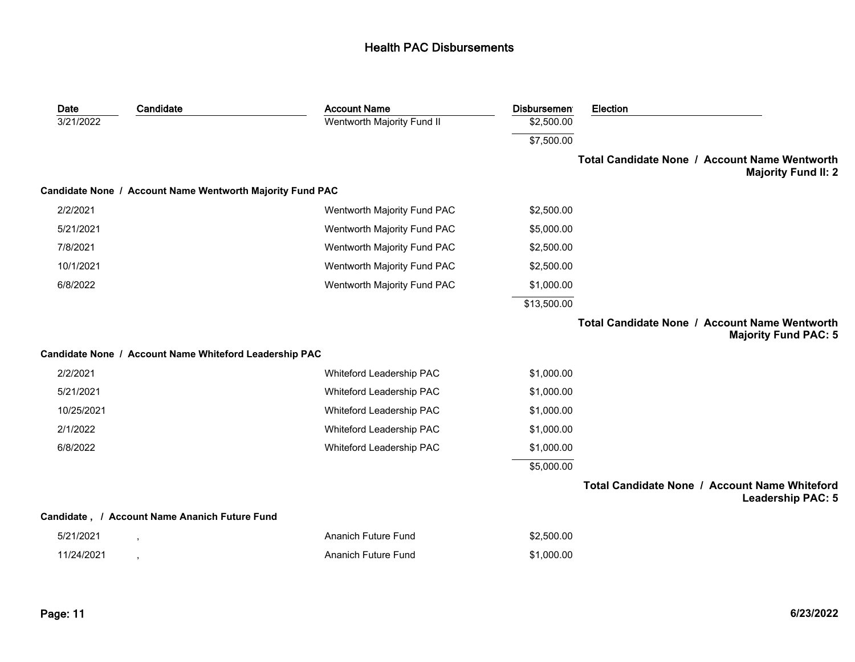| <b>Account Name</b>                                       | <b>Disbursemen</b> | <b>Election</b>                                                              |
|-----------------------------------------------------------|--------------------|------------------------------------------------------------------------------|
| Wentworth Majority Fund II                                | \$2,500.00         |                                                                              |
|                                                           | \$7,500.00         |                                                                              |
|                                                           |                    | Total Candidate None / Account Name Wentworth<br><b>Majority Fund II: 2</b>  |
| Candidate None / Account Name Wentworth Majority Fund PAC |                    |                                                                              |
| Wentworth Majority Fund PAC                               | \$2,500.00         |                                                                              |
| Wentworth Majority Fund PAC                               | \$5,000.00         |                                                                              |
| Wentworth Majority Fund PAC                               | \$2,500.00         |                                                                              |
| Wentworth Majority Fund PAC                               | \$2,500.00         |                                                                              |
| Wentworth Majority Fund PAC                               | \$1,000.00         |                                                                              |
|                                                           | \$13,500.00        |                                                                              |
|                                                           |                    | Total Candidate None / Account Name Wentworth<br><b>Majority Fund PAC: 5</b> |
| Candidate None / Account Name Whiteford Leadership PAC    |                    |                                                                              |
| Whiteford Leadership PAC                                  | \$1,000.00         |                                                                              |
| Whiteford Leadership PAC                                  | \$1,000.00         |                                                                              |
| Whiteford Leadership PAC                                  | \$1,000.00         |                                                                              |
| Whiteford Leadership PAC                                  | \$1,000.00         |                                                                              |
| Whiteford Leadership PAC                                  | \$1,000.00         |                                                                              |
|                                                           | \$5,000.00         |                                                                              |
|                                                           |                    | Total Candidate None / Account Name Whiteford<br><b>Leadership PAC: 5</b>    |
| Candidate, / Account Name Ananich Future Fund             |                    |                                                                              |
| <b>Ananich Future Fund</b>                                | \$2,500.00         |                                                                              |
| <b>Ananich Future Fund</b>                                | \$1,000.00         |                                                                              |
|                                                           |                    |                                                                              |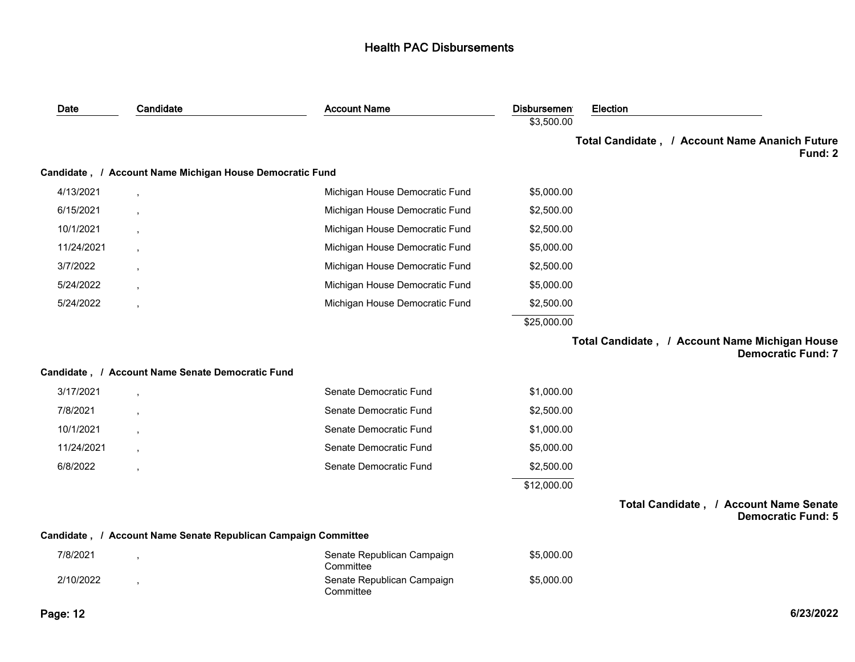| Date       | Candidate                                                      | <b>Account Name</b>                     | <b>Disbursemen</b> | Election |                                                                             |
|------------|----------------------------------------------------------------|-----------------------------------------|--------------------|----------|-----------------------------------------------------------------------------|
|            |                                                                |                                         | \$3,500.00         |          |                                                                             |
|            |                                                                |                                         |                    |          | Total Candidate, / Account Name Ananich Future<br>Fund: 2                   |
|            | Candidate, / Account Name Michigan House Democratic Fund       |                                         |                    |          |                                                                             |
| 4/13/2021  |                                                                | Michigan House Democratic Fund          | \$5,000.00         |          |                                                                             |
| 6/15/2021  |                                                                | Michigan House Democratic Fund          | \$2,500.00         |          |                                                                             |
| 10/1/2021  |                                                                | Michigan House Democratic Fund          | \$2,500.00         |          |                                                                             |
| 11/24/2021 |                                                                | Michigan House Democratic Fund          | \$5,000.00         |          |                                                                             |
| 3/7/2022   |                                                                | Michigan House Democratic Fund          | \$2,500.00         |          |                                                                             |
| 5/24/2022  |                                                                | Michigan House Democratic Fund          | \$5,000.00         |          |                                                                             |
| 5/24/2022  | $\overline{\phantom{a}}$                                       | Michigan House Democratic Fund          | \$2,500.00         |          |                                                                             |
|            |                                                                |                                         | \$25,000.00        |          |                                                                             |
|            |                                                                |                                         |                    |          | Total Candidate, / Account Name Michigan House<br><b>Democratic Fund: 7</b> |
|            | Candidate, / Account Name Senate Democratic Fund               |                                         |                    |          |                                                                             |
| 3/17/2021  |                                                                | Senate Democratic Fund                  | \$1,000.00         |          |                                                                             |
| 7/8/2021   |                                                                | Senate Democratic Fund                  | \$2,500.00         |          |                                                                             |
| 10/1/2021  |                                                                | Senate Democratic Fund                  | \$1,000.00         |          |                                                                             |
| 11/24/2021 |                                                                | Senate Democratic Fund                  | \$5,000.00         |          |                                                                             |
| 6/8/2022   |                                                                | Senate Democratic Fund                  | \$2,500.00         |          |                                                                             |
|            |                                                                |                                         | \$12,000.00        |          |                                                                             |
|            |                                                                |                                         |                    |          | Total Candidate, / Account Name Senate<br><b>Democratic Fund: 5</b>         |
|            | Candidate, / Account Name Senate Republican Campaign Committee |                                         |                    |          |                                                                             |
| 7/8/2021   |                                                                | Senate Republican Campaign<br>Committee | \$5,000.00         |          |                                                                             |
| 2/10/2022  |                                                                | Senate Republican Campaign<br>Committee | \$5,000.00         |          |                                                                             |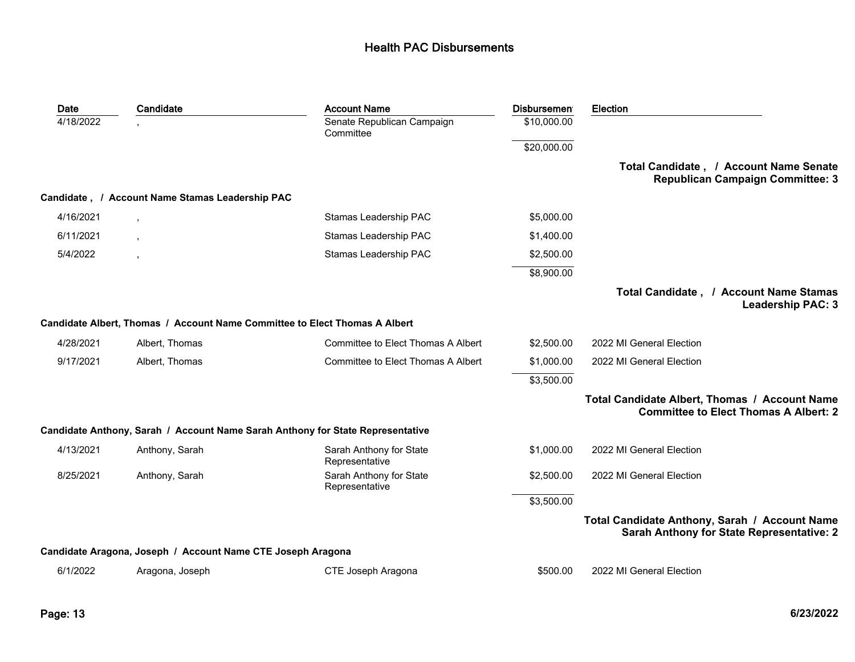| Date      | Candidate                                                   | <b>Account Name</b>                                                            | <b>Disbursemen</b> | Election                                                                                      |
|-----------|-------------------------------------------------------------|--------------------------------------------------------------------------------|--------------------|-----------------------------------------------------------------------------------------------|
| 4/18/2022 |                                                             | Senate Republican Campaign<br>Committee                                        | \$10,000.00        |                                                                                               |
|           |                                                             |                                                                                | \$20,000.00        |                                                                                               |
|           |                                                             |                                                                                |                    | Total Candidate, / Account Name Senate<br><b>Republican Campaign Committee: 3</b>             |
|           | Candidate, / Account Name Stamas Leadership PAC             |                                                                                |                    |                                                                                               |
| 4/16/2021 |                                                             | Stamas Leadership PAC                                                          | \$5,000.00         |                                                                                               |
| 6/11/2021 |                                                             | Stamas Leadership PAC                                                          | \$1,400.00         |                                                                                               |
| 5/4/2022  |                                                             | Stamas Leadership PAC                                                          | \$2,500.00         |                                                                                               |
|           |                                                             |                                                                                | \$8,900.00         |                                                                                               |
|           |                                                             |                                                                                |                    | Total Candidate, / Account Name Stamas<br><b>Leadership PAC: 3</b>                            |
|           |                                                             | Candidate Albert, Thomas / Account Name Committee to Elect Thomas A Albert     |                    |                                                                                               |
| 4/28/2021 | Albert, Thomas                                              | Committee to Elect Thomas A Albert                                             | \$2,500.00         | 2022 MI General Election                                                                      |
| 9/17/2021 | Albert, Thomas                                              | Committee to Elect Thomas A Albert                                             | \$1,000.00         | 2022 MI General Election                                                                      |
|           |                                                             |                                                                                | \$3,500.00         |                                                                                               |
|           |                                                             |                                                                                |                    | Total Candidate Albert, Thomas / Account Name<br><b>Committee to Elect Thomas A Albert: 2</b> |
|           |                                                             | Candidate Anthony, Sarah / Account Name Sarah Anthony for State Representative |                    |                                                                                               |
| 4/13/2021 | Anthony, Sarah                                              | Sarah Anthony for State<br>Representative                                      | \$1,000.00         | 2022 MI General Election                                                                      |
| 8/25/2021 | Anthony, Sarah                                              | Sarah Anthony for State<br>Representative                                      | \$2,500.00         | 2022 MI General Election                                                                      |
|           |                                                             |                                                                                | \$3,500.00         |                                                                                               |
|           |                                                             |                                                                                |                    | Total Candidate Anthony, Sarah / Account Name<br>Sarah Anthony for State Representative: 2    |
|           | Candidate Aragona, Joseph / Account Name CTE Joseph Aragona |                                                                                |                    |                                                                                               |
| 6/1/2022  | Aragona, Joseph                                             | CTE Joseph Aragona                                                             | \$500.00           | 2022 MI General Election                                                                      |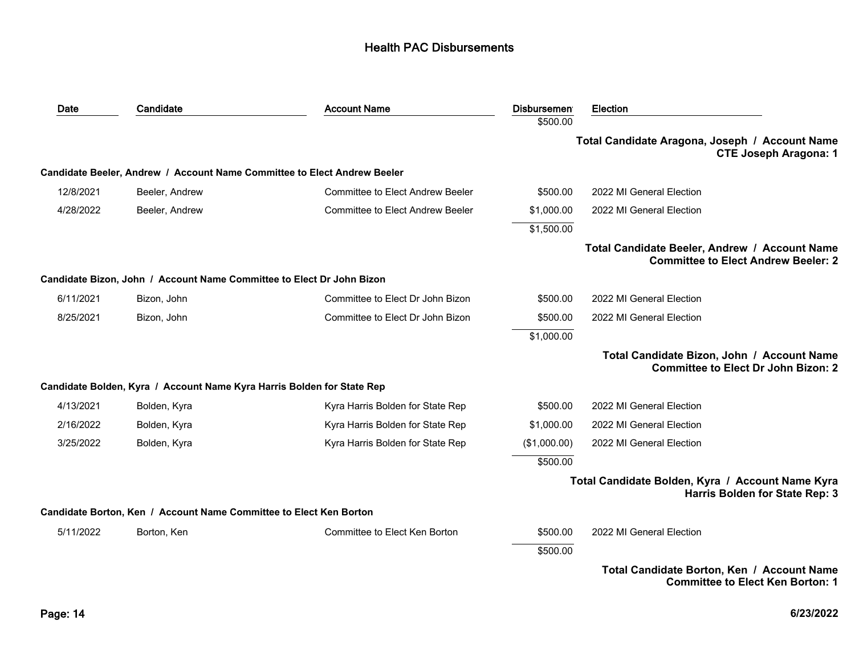| Date      | Candidate                                                                | <b>Account Name</b>                     | <b>Disbursemen</b> | <b>Election</b>                                                                             |
|-----------|--------------------------------------------------------------------------|-----------------------------------------|--------------------|---------------------------------------------------------------------------------------------|
|           |                                                                          |                                         | \$500.00           |                                                                                             |
|           |                                                                          |                                         |                    | Total Candidate Aragona, Joseph / Account Name<br><b>CTE Joseph Aragona: 1</b>              |
|           | Candidate Beeler, Andrew / Account Name Committee to Elect Andrew Beeler |                                         |                    |                                                                                             |
| 12/8/2021 | Beeler, Andrew                                                           | <b>Committee to Elect Andrew Beeler</b> | \$500.00           | 2022 MI General Election                                                                    |
| 4/28/2022 | Beeler, Andrew                                                           | <b>Committee to Elect Andrew Beeler</b> | \$1,000.00         | 2022 MI General Election                                                                    |
|           |                                                                          |                                         | \$1,500.00         |                                                                                             |
|           |                                                                          |                                         |                    | Total Candidate Beeler, Andrew / Account Name<br><b>Committee to Elect Andrew Beeler: 2</b> |
|           | Candidate Bizon, John / Account Name Committee to Elect Dr John Bizon    |                                         |                    |                                                                                             |
| 6/11/2021 | Bizon, John                                                              | Committee to Elect Dr John Bizon        | \$500.00           | 2022 MI General Election                                                                    |
| 8/25/2021 | Bizon, John                                                              | Committee to Elect Dr John Bizon        | \$500.00           | 2022 MI General Election                                                                    |
|           |                                                                          |                                         | \$1,000.00         |                                                                                             |
|           |                                                                          |                                         |                    | Total Candidate Bizon, John / Account Name<br><b>Committee to Elect Dr John Bizon: 2</b>    |
|           | Candidate Bolden, Kyra / Account Name Kyra Harris Bolden for State Rep   |                                         |                    |                                                                                             |
| 4/13/2021 | Bolden, Kyra                                                             | Kyra Harris Bolden for State Rep        | \$500.00           | 2022 MI General Election                                                                    |
| 2/16/2022 | Bolden, Kyra                                                             | Kyra Harris Bolden for State Rep        | \$1,000.00         | 2022 MI General Election                                                                    |
| 3/25/2022 | Bolden, Kyra                                                             | Kyra Harris Bolden for State Rep        | (\$1,000.00)       | 2022 MI General Election                                                                    |
|           |                                                                          |                                         | \$500.00           |                                                                                             |
|           |                                                                          |                                         |                    | Total Candidate Bolden, Kyra / Account Name Kyra<br>Harris Bolden for State Rep: 3          |
|           | Candidate Borton, Ken / Account Name Committee to Elect Ken Borton       |                                         |                    |                                                                                             |
| 5/11/2022 | Borton, Ken                                                              | Committee to Elect Ken Borton           | \$500.00           | 2022 MI General Election                                                                    |
|           |                                                                          |                                         | \$500.00           |                                                                                             |
|           |                                                                          |                                         |                    | Total Candidate Borton, Ken / Account Name<br><b>Committee to Elect Ken Borton: 1</b>       |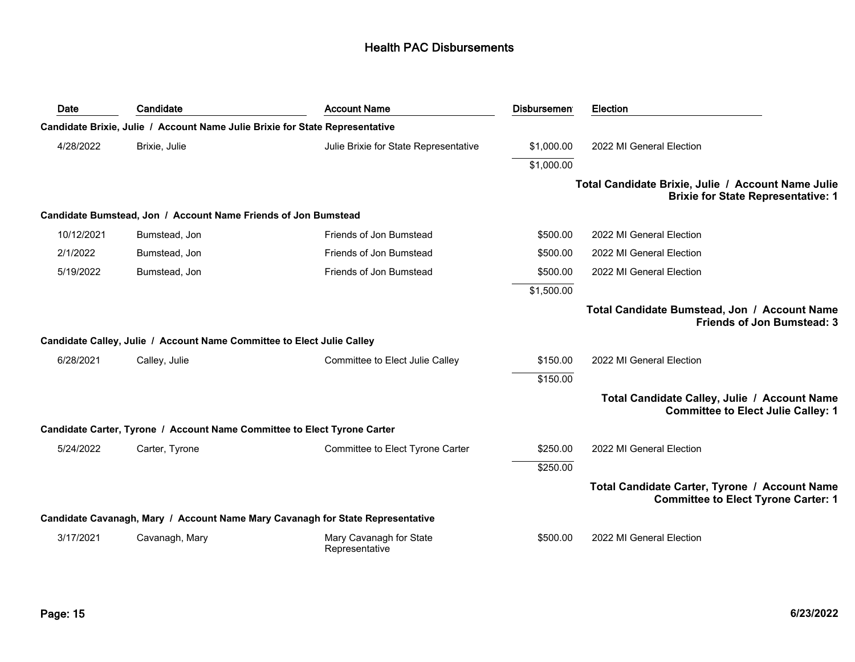| Date       | Candidate                                                                    | <b>Account Name</b>                                                            | <b>Disbursemen</b> | <b>Election</b>                                                                                 |
|------------|------------------------------------------------------------------------------|--------------------------------------------------------------------------------|--------------------|-------------------------------------------------------------------------------------------------|
|            | Candidate Brixie, Julie / Account Name Julie Brixie for State Representative |                                                                                |                    |                                                                                                 |
| 4/28/2022  | Brixie, Julie                                                                | Julie Brixie for State Representative                                          | \$1,000.00         | 2022 MI General Election                                                                        |
|            |                                                                              |                                                                                | \$1,000.00         |                                                                                                 |
|            |                                                                              |                                                                                |                    | Total Candidate Brixie, Julie / Account Name Julie<br><b>Brixie for State Representative: 1</b> |
|            | Candidate Bumstead, Jon / Account Name Friends of Jon Bumstead               |                                                                                |                    |                                                                                                 |
| 10/12/2021 | Bumstead, Jon                                                                | Friends of Jon Bumstead                                                        | \$500.00           | 2022 MI General Election                                                                        |
| 2/1/2022   | Bumstead, Jon                                                                | Friends of Jon Bumstead                                                        | \$500.00           | 2022 MI General Election                                                                        |
| 5/19/2022  | Bumstead, Jon                                                                | Friends of Jon Bumstead                                                        | \$500.00           | 2022 MI General Election                                                                        |
|            |                                                                              |                                                                                | \$1,500.00         |                                                                                                 |
|            |                                                                              |                                                                                |                    | Total Candidate Bumstead, Jon / Account Name<br><b>Friends of Jon Bumstead: 3</b>               |
|            | Candidate Calley, Julie / Account Name Committee to Elect Julie Calley       |                                                                                |                    |                                                                                                 |
| 6/28/2021  | Calley, Julie                                                                | Committee to Elect Julie Calley                                                | \$150.00           | 2022 MI General Election                                                                        |
|            |                                                                              |                                                                                | \$150.00           |                                                                                                 |
|            |                                                                              |                                                                                |                    | Total Candidate Calley, Julie / Account Name<br><b>Committee to Elect Julie Calley: 1</b>       |
|            | Candidate Carter, Tyrone / Account Name Committee to Elect Tyrone Carter     |                                                                                |                    |                                                                                                 |
| 5/24/2022  | Carter, Tyrone                                                               | Committee to Elect Tyrone Carter                                               | \$250.00           | 2022 MI General Election                                                                        |
|            |                                                                              |                                                                                | \$250.00           |                                                                                                 |
|            |                                                                              |                                                                                |                    | Total Candidate Carter, Tyrone / Account Name<br><b>Committee to Elect Tyrone Carter: 1</b>     |
|            |                                                                              | Candidate Cavanagh, Mary / Account Name Mary Cavanagh for State Representative |                    |                                                                                                 |
| 3/17/2021  | Cavanagh, Mary                                                               | Mary Cavanagh for State<br>Representative                                      | \$500.00           | 2022 MI General Election                                                                        |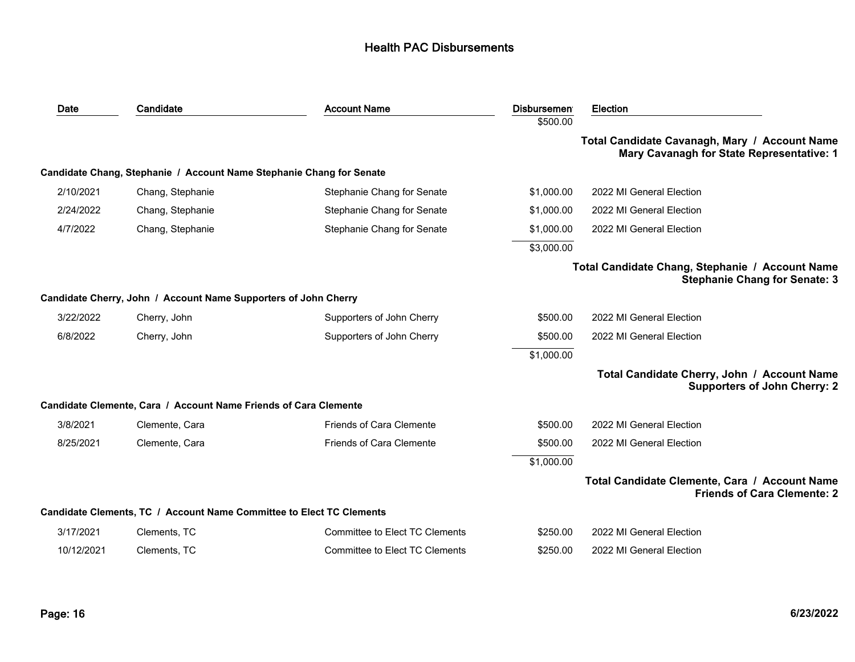| Date       | Candidate                                                            | <b>Account Name</b>             | <b>Disbursemen</b><br>\$500.00 | <b>Election</b>                                                                            |
|------------|----------------------------------------------------------------------|---------------------------------|--------------------------------|--------------------------------------------------------------------------------------------|
|            |                                                                      |                                 |                                | Total Candidate Cavanagh, Mary / Account Name<br>Mary Cavanagh for State Representative: 1 |
|            | Candidate Chang, Stephanie / Account Name Stephanie Chang for Senate |                                 |                                |                                                                                            |
| 2/10/2021  | Chang, Stephanie                                                     | Stephanie Chang for Senate      | \$1,000.00                     | 2022 MI General Election                                                                   |
| 2/24/2022  | Chang, Stephanie                                                     | Stephanie Chang for Senate      | \$1,000.00                     | 2022 MI General Election                                                                   |
| 4/7/2022   | Chang, Stephanie                                                     | Stephanie Chang for Senate      | \$1,000.00                     | 2022 MI General Election                                                                   |
|            |                                                                      |                                 | \$3,000.00                     |                                                                                            |
|            |                                                                      |                                 |                                | Total Candidate Chang, Stephanie / Account Name<br><b>Stephanie Chang for Senate: 3</b>    |
|            | Candidate Cherry, John / Account Name Supporters of John Cherry      |                                 |                                |                                                                                            |
| 3/22/2022  | Cherry, John                                                         | Supporters of John Cherry       | \$500.00                       | 2022 MI General Election                                                                   |
| 6/8/2022   | Cherry, John                                                         | Supporters of John Cherry       | \$500.00                       | 2022 MI General Election                                                                   |
|            |                                                                      |                                 | \$1,000.00                     |                                                                                            |
|            |                                                                      |                                 |                                | Total Candidate Cherry, John / Account Name<br><b>Supporters of John Cherry: 2</b>         |
|            | Candidate Clemente, Cara / Account Name Friends of Cara Clemente     |                                 |                                |                                                                                            |
| 3/8/2021   | Clemente, Cara                                                       | <b>Friends of Cara Clemente</b> | \$500.00                       | 2022 MI General Election                                                                   |
| 8/25/2021  | Clemente, Cara                                                       | <b>Friends of Cara Clemente</b> | \$500.00                       | 2022 MI General Election                                                                   |
|            |                                                                      |                                 | \$1,000.00                     |                                                                                            |
|            |                                                                      |                                 |                                | Total Candidate Clemente, Cara / Account Name<br><b>Friends of Cara Clemente: 2</b>        |
|            | Candidate Clements, TC / Account Name Committee to Elect TC Clements |                                 |                                |                                                                                            |
| 3/17/2021  | Clements, TC                                                         | Committee to Elect TC Clements  | \$250.00                       | 2022 MI General Election                                                                   |
| 10/12/2021 | Clements, TC                                                         | Committee to Elect TC Clements  | \$250.00                       | 2022 MI General Election                                                                   |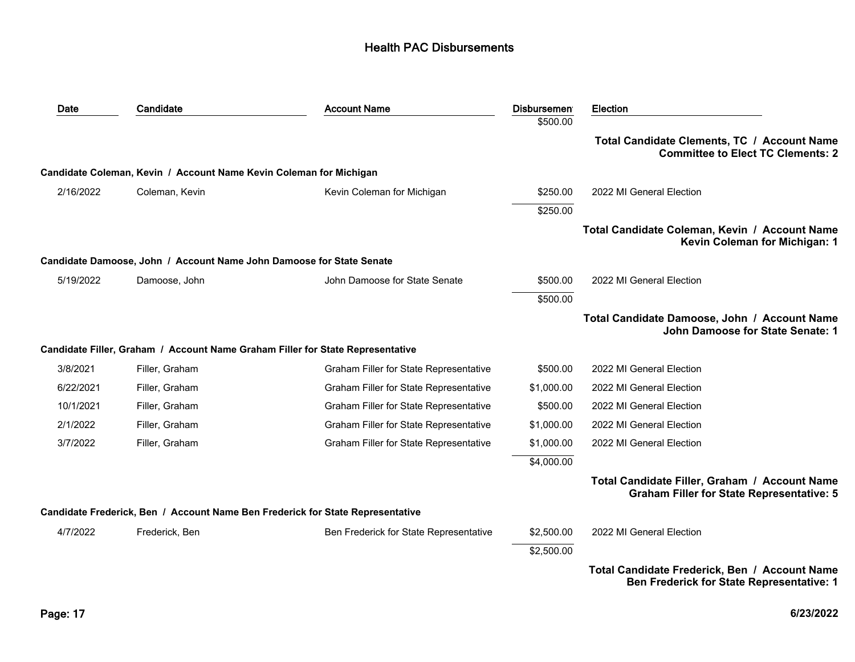| Date      | Candidate                                                            | <b>Account Name</b>                                                            | <b>Disbursemen</b> | <b>Election</b>                                                                                   |
|-----------|----------------------------------------------------------------------|--------------------------------------------------------------------------------|--------------------|---------------------------------------------------------------------------------------------------|
|           |                                                                      |                                                                                | \$500.00           |                                                                                                   |
|           |                                                                      |                                                                                |                    | Total Candidate Clements, TC / Account Name<br><b>Committee to Elect TC Clements: 2</b>           |
|           | Candidate Coleman, Kevin / Account Name Kevin Coleman for Michigan   |                                                                                |                    |                                                                                                   |
| 2/16/2022 | Coleman, Kevin                                                       | Kevin Coleman for Michigan                                                     | \$250.00           | 2022 MI General Election                                                                          |
|           |                                                                      |                                                                                | \$250.00           |                                                                                                   |
|           |                                                                      |                                                                                |                    | Total Candidate Coleman, Kevin / Account Name<br>Kevin Coleman for Michigan: 1                    |
|           | Candidate Damoose, John / Account Name John Damoose for State Senate |                                                                                |                    |                                                                                                   |
| 5/19/2022 | Damoose, John                                                        | John Damoose for State Senate                                                  | \$500.00           | 2022 MI General Election                                                                          |
|           |                                                                      |                                                                                | \$500.00           |                                                                                                   |
|           |                                                                      |                                                                                |                    | Total Candidate Damoose, John / Account Name<br>John Damoose for State Senate: 1                  |
|           |                                                                      | Candidate Filler, Graham / Account Name Graham Filler for State Representative |                    |                                                                                                   |
| 3/8/2021  | Filler, Graham                                                       | Graham Filler for State Representative                                         | \$500.00           | 2022 MI General Election                                                                          |
| 6/22/2021 | Filler, Graham                                                       | Graham Filler for State Representative                                         | \$1,000.00         | 2022 MI General Election                                                                          |
| 10/1/2021 | Filler, Graham                                                       | Graham Filler for State Representative                                         | \$500.00           | 2022 MI General Election                                                                          |
| 2/1/2022  | Filler, Graham                                                       | Graham Filler for State Representative                                         | \$1,000.00         | 2022 MI General Election                                                                          |
| 3/7/2022  | Filler, Graham                                                       | Graham Filler for State Representative                                         | \$1,000.00         | 2022 MI General Election                                                                          |
|           |                                                                      |                                                                                | \$4,000.00         |                                                                                                   |
|           |                                                                      |                                                                                |                    | Total Candidate Filler, Graham / Account Name<br><b>Graham Filler for State Representative: 5</b> |
|           |                                                                      | Candidate Frederick, Ben / Account Name Ben Frederick for State Representative |                    |                                                                                                   |
| 4/7/2022  | Frederick, Ben                                                       | Ben Frederick for State Representative                                         | \$2,500.00         | 2022 MI General Election                                                                          |
|           |                                                                      |                                                                                | \$2,500.00         |                                                                                                   |
|           |                                                                      |                                                                                |                    | Total Candidate Frederick, Ben / Account Name<br><b>Ben Frederick for State Representative: 1</b> |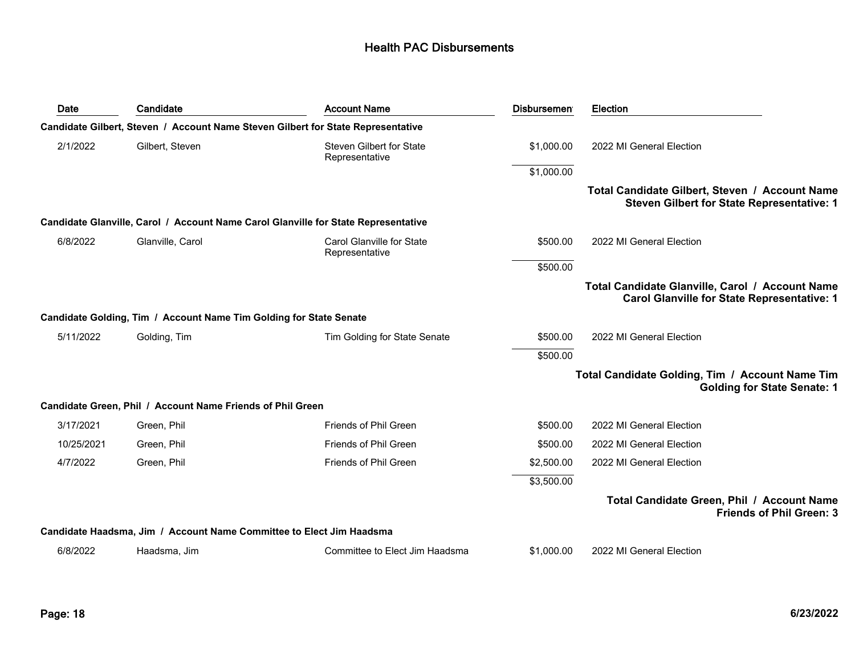| Date       | Candidate                                                            | <b>Account Name</b>                                                                | <b>Disbursemen</b> | Election                                                                                              |
|------------|----------------------------------------------------------------------|------------------------------------------------------------------------------------|--------------------|-------------------------------------------------------------------------------------------------------|
|            |                                                                      | Candidate Gilbert, Steven / Account Name Steven Gilbert for State Representative   |                    |                                                                                                       |
| 2/1/2022   | Gilbert, Steven                                                      | <b>Steven Gilbert for State</b><br>Representative                                  | \$1,000.00         | 2022 MI General Election                                                                              |
|            |                                                                      |                                                                                    | \$1,000.00         |                                                                                                       |
|            |                                                                      |                                                                                    |                    | Total Candidate Gilbert, Steven / Account Name<br>Steven Gilbert for State Representative: 1          |
|            |                                                                      | Candidate Glanville, Carol / Account Name Carol Glanville for State Representative |                    |                                                                                                       |
| 6/8/2022   | Glanville, Carol                                                     | Carol Glanville for State<br>Representative                                        | \$500.00           | 2022 MI General Election                                                                              |
|            |                                                                      |                                                                                    | \$500.00           |                                                                                                       |
|            |                                                                      |                                                                                    |                    | Total Candidate Glanville, Carol / Account Name<br><b>Carol Glanville for State Representative: 1</b> |
|            | Candidate Golding, Tim / Account Name Tim Golding for State Senate   |                                                                                    |                    |                                                                                                       |
| 5/11/2022  | Golding, Tim                                                         | Tim Golding for State Senate                                                       | \$500.00           | 2022 MI General Election                                                                              |
|            |                                                                      |                                                                                    | \$500.00           |                                                                                                       |
|            |                                                                      |                                                                                    |                    | Total Candidate Golding, Tim / Account Name Tim<br><b>Golding for State Senate: 1</b>                 |
|            | Candidate Green, Phil / Account Name Friends of Phil Green           |                                                                                    |                    |                                                                                                       |
| 3/17/2021  | Green, Phil                                                          | Friends of Phil Green                                                              | \$500.00           | 2022 MI General Election                                                                              |
| 10/25/2021 | Green, Phil                                                          | Friends of Phil Green                                                              | \$500.00           | 2022 MI General Election                                                                              |
| 4/7/2022   | Green, Phil                                                          | Friends of Phil Green                                                              | \$2,500.00         | 2022 MI General Election                                                                              |
|            |                                                                      |                                                                                    | \$3,500.00         |                                                                                                       |
|            |                                                                      |                                                                                    |                    | Total Candidate Green, Phil / Account Name<br><b>Friends of Phil Green: 3</b>                         |
|            | Candidate Haadsma, Jim / Account Name Committee to Elect Jim Haadsma |                                                                                    |                    |                                                                                                       |
| 6/8/2022   | Haadsma, Jim                                                         | Committee to Elect Jim Haadsma                                                     | \$1,000.00         | 2022 MI General Election                                                                              |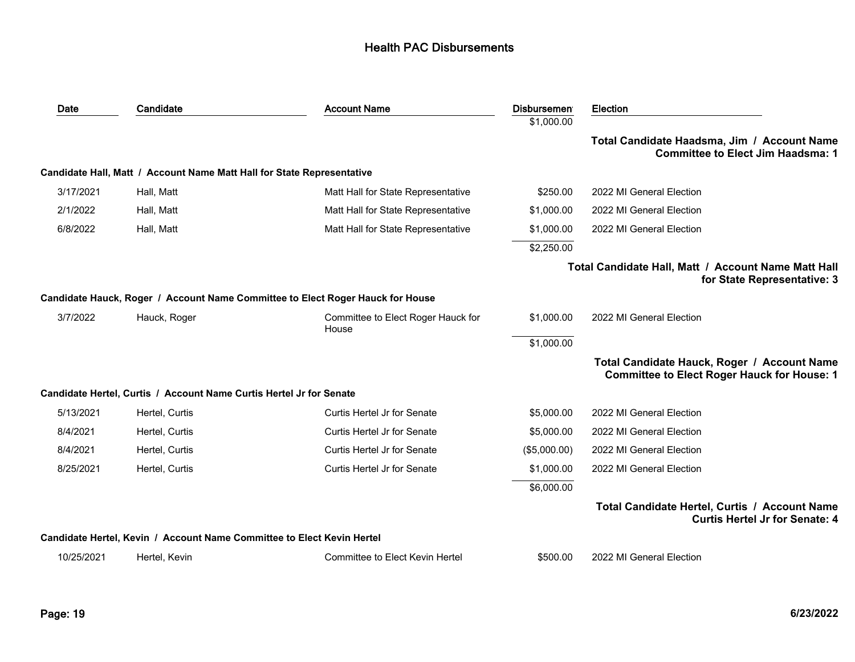| Date       | Candidate                                                              | <b>Account Name</b>                                                            | <b>Disbursemen</b> | Election                                                                                          |
|------------|------------------------------------------------------------------------|--------------------------------------------------------------------------------|--------------------|---------------------------------------------------------------------------------------------------|
|            |                                                                        |                                                                                | \$1,000.00         |                                                                                                   |
|            |                                                                        |                                                                                |                    | Total Candidate Haadsma, Jim / Account Name<br><b>Committee to Elect Jim Haadsma: 1</b>           |
|            | Candidate Hall, Matt / Account Name Matt Hall for State Representative |                                                                                |                    |                                                                                                   |
| 3/17/2021  | Hall, Matt                                                             | Matt Hall for State Representative                                             | \$250.00           | 2022 MI General Election                                                                          |
| 2/1/2022   | Hall, Matt                                                             | Matt Hall for State Representative                                             | \$1,000.00         | 2022 MI General Election                                                                          |
| 6/8/2022   | Hall, Matt                                                             | Matt Hall for State Representative                                             | \$1,000.00         | 2022 MI General Election                                                                          |
|            |                                                                        |                                                                                | \$2,250.00         |                                                                                                   |
|            |                                                                        |                                                                                |                    | Total Candidate Hall, Matt / Account Name Matt Hall<br>for State Representative: 3                |
|            |                                                                        | Candidate Hauck, Roger / Account Name Committee to Elect Roger Hauck for House |                    |                                                                                                   |
| 3/7/2022   | Hauck, Roger                                                           | Committee to Elect Roger Hauck for<br>House                                    | \$1,000.00         | 2022 MI General Election                                                                          |
|            |                                                                        |                                                                                | \$1,000.00         |                                                                                                   |
|            |                                                                        |                                                                                |                    | Total Candidate Hauck, Roger / Account Name<br><b>Committee to Elect Roger Hauck for House: 1</b> |
|            | Candidate Hertel, Curtis / Account Name Curtis Hertel Jr for Senate    |                                                                                |                    |                                                                                                   |
| 5/13/2021  | Hertel, Curtis                                                         | Curtis Hertel Jr for Senate                                                    | \$5,000.00         | 2022 MI General Election                                                                          |
| 8/4/2021   | Hertel, Curtis                                                         | Curtis Hertel Jr for Senate                                                    | \$5,000.00         | 2022 MI General Election                                                                          |
| 8/4/2021   | Hertel, Curtis                                                         | Curtis Hertel Jr for Senate                                                    | (\$5,000.00)       | 2022 MI General Election                                                                          |
| 8/25/2021  | Hertel, Curtis                                                         | Curtis Hertel Jr for Senate                                                    | \$1,000.00         | 2022 MI General Election                                                                          |
|            |                                                                        |                                                                                | \$6,000.00         |                                                                                                   |
|            |                                                                        |                                                                                |                    | Total Candidate Hertel, Curtis / Account Name<br><b>Curtis Hertel Jr for Senate: 4</b>            |
|            | Candidate Hertel, Kevin / Account Name Committee to Elect Kevin Hertel |                                                                                |                    |                                                                                                   |
| 10/25/2021 | Hertel, Kevin                                                          | Committee to Elect Kevin Hertel                                                | \$500.00           | 2022 MI General Election                                                                          |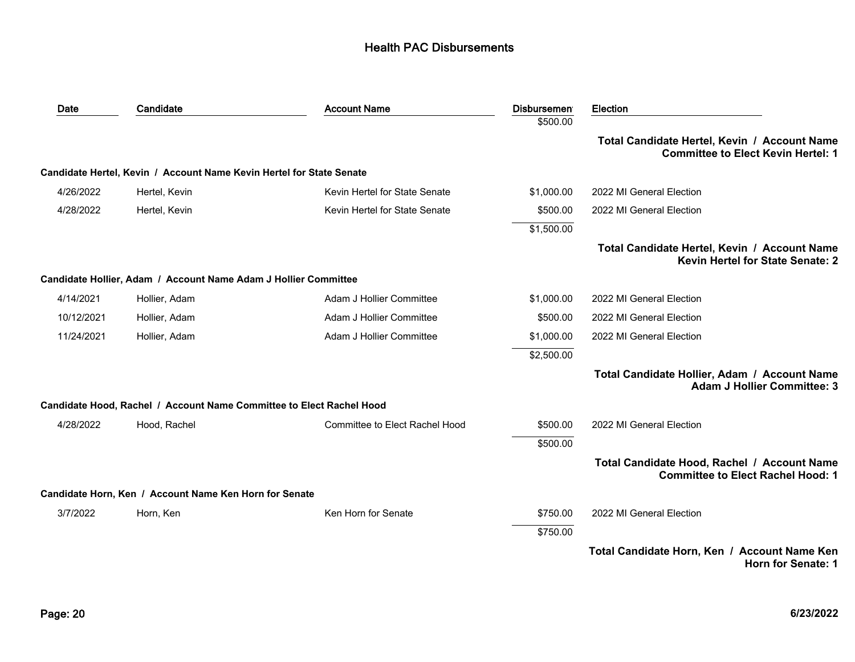| Date       | Candidate                                                            | <b>Account Name</b>                   | Disbursemen <sup>®</sup> | <b>Election</b>                                                                           |
|------------|----------------------------------------------------------------------|---------------------------------------|--------------------------|-------------------------------------------------------------------------------------------|
|            |                                                                      |                                       | \$500.00                 |                                                                                           |
|            |                                                                      |                                       |                          | Total Candidate Hertel, Kevin / Account Name<br><b>Committee to Elect Kevin Hertel: 1</b> |
|            | Candidate Hertel, Kevin / Account Name Kevin Hertel for State Senate |                                       |                          |                                                                                           |
| 4/26/2022  | Hertel, Kevin                                                        | Kevin Hertel for State Senate         | \$1,000.00               | 2022 MI General Election                                                                  |
| 4/28/2022  | Hertel, Kevin                                                        | Kevin Hertel for State Senate         | \$500.00                 | 2022 MI General Election                                                                  |
|            |                                                                      |                                       | \$1,500.00               |                                                                                           |
|            |                                                                      |                                       |                          | Total Candidate Hertel, Kevin / Account Name<br><b>Kevin Hertel for State Senate: 2</b>   |
|            | Candidate Hollier, Adam / Account Name Adam J Hollier Committee      |                                       |                          |                                                                                           |
| 4/14/2021  | Hollier, Adam                                                        | Adam J Hollier Committee              | \$1,000.00               | 2022 MI General Election                                                                  |
| 10/12/2021 | Hollier, Adam                                                        | Adam J Hollier Committee              | \$500.00                 | 2022 MI General Election                                                                  |
| 11/24/2021 | Hollier, Adam                                                        | Adam J Hollier Committee              | \$1,000.00               | 2022 MI General Election                                                                  |
|            |                                                                      |                                       | \$2,500.00               |                                                                                           |
|            |                                                                      |                                       |                          | Total Candidate Hollier, Adam / Account Name<br><b>Adam J Hollier Committee: 3</b>        |
|            | Candidate Hood, Rachel / Account Name Committee to Elect Rachel Hood |                                       |                          |                                                                                           |
| 4/28/2022  | Hood, Rachel                                                         | <b>Committee to Elect Rachel Hood</b> | \$500.00                 | 2022 MI General Election                                                                  |
|            |                                                                      |                                       | \$500.00                 |                                                                                           |
|            |                                                                      |                                       |                          | Total Candidate Hood, Rachel / Account Name<br><b>Committee to Elect Rachel Hood: 1</b>   |
|            | Candidate Horn, Ken / Account Name Ken Horn for Senate               |                                       |                          |                                                                                           |
| 3/7/2022   | Horn, Ken                                                            | Ken Horn for Senate                   | \$750.00                 | 2022 MI General Election                                                                  |
|            |                                                                      |                                       | \$750.00                 |                                                                                           |
|            |                                                                      |                                       |                          | Total Candidate Horn, Ken / Account Name Ken<br>Horn for Senate: 1                        |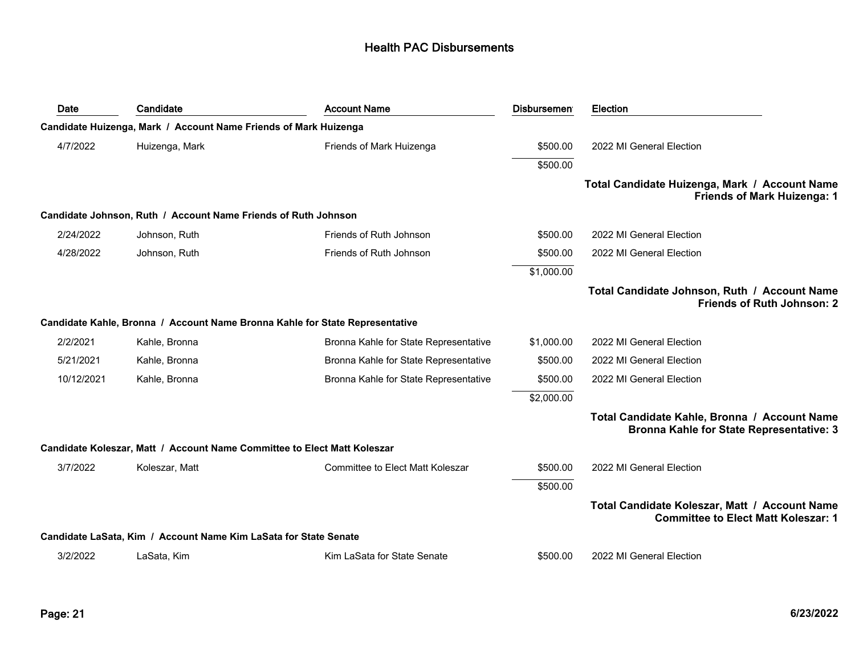| Date       | Candidate                                                                | <b>Account Name</b>                                                          | <b>Disbursemen</b> | <b>Election</b>                                                                                 |
|------------|--------------------------------------------------------------------------|------------------------------------------------------------------------------|--------------------|-------------------------------------------------------------------------------------------------|
|            | Candidate Huizenga, Mark / Account Name Friends of Mark Huizenga         |                                                                              |                    |                                                                                                 |
| 4/7/2022   | Huizenga, Mark                                                           | Friends of Mark Huizenga                                                     | \$500.00           | 2022 MI General Election                                                                        |
|            |                                                                          |                                                                              | \$500.00           |                                                                                                 |
|            |                                                                          |                                                                              |                    | Total Candidate Huizenga, Mark / Account Name<br><b>Friends of Mark Huizenga: 1</b>             |
|            | Candidate Johnson, Ruth / Account Name Friends of Ruth Johnson           |                                                                              |                    |                                                                                                 |
| 2/24/2022  | Johnson, Ruth                                                            | Friends of Ruth Johnson                                                      | \$500.00           | 2022 MI General Election                                                                        |
| 4/28/2022  | Johnson, Ruth                                                            | Friends of Ruth Johnson                                                      | \$500.00           | 2022 MI General Election                                                                        |
|            |                                                                          |                                                                              | \$1,000.00         |                                                                                                 |
|            |                                                                          |                                                                              |                    | Total Candidate Johnson, Ruth / Account Name<br><b>Friends of Ruth Johnson: 2</b>               |
|            |                                                                          | Candidate Kahle, Bronna / Account Name Bronna Kahle for State Representative |                    |                                                                                                 |
| 2/2/2021   | Kahle, Bronna                                                            | Bronna Kahle for State Representative                                        | \$1,000.00         | 2022 MI General Election                                                                        |
| 5/21/2021  | Kahle, Bronna                                                            | Bronna Kahle for State Representative                                        | \$500.00           | 2022 MI General Election                                                                        |
| 10/12/2021 | Kahle, Bronna                                                            | Bronna Kahle for State Representative                                        | \$500.00           | 2022 MI General Election                                                                        |
|            |                                                                          |                                                                              | \$2,000.00         |                                                                                                 |
|            |                                                                          |                                                                              |                    | Total Candidate Kahle, Bronna / Account Name<br><b>Bronna Kahle for State Representative: 3</b> |
|            | Candidate Koleszar, Matt / Account Name Committee to Elect Matt Koleszar |                                                                              |                    |                                                                                                 |
| 3/7/2022   | Koleszar, Matt                                                           | <b>Committee to Elect Matt Koleszar</b>                                      | \$500.00           | 2022 MI General Election                                                                        |
|            |                                                                          |                                                                              | \$500.00           |                                                                                                 |
|            |                                                                          |                                                                              |                    | Total Candidate Koleszar, Matt / Account Name<br><b>Committee to Elect Matt Koleszar: 1</b>     |
|            | Candidate LaSata, Kim / Account Name Kim LaSata for State Senate         |                                                                              |                    |                                                                                                 |
| 3/2/2022   | LaSata, Kim                                                              | Kim LaSata for State Senate                                                  | \$500.00           | 2022 MI General Election                                                                        |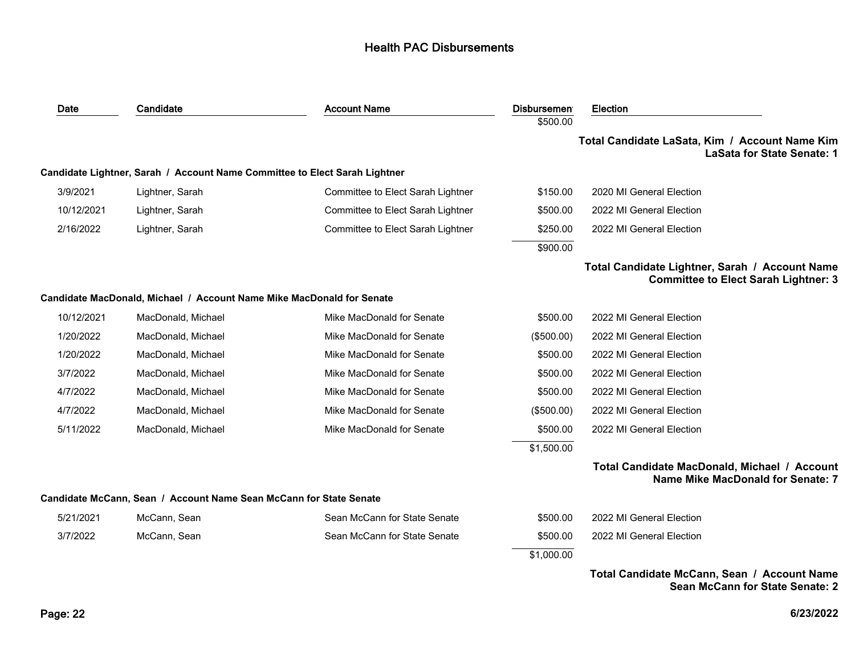| Date       | Candidate                                                                  | <b>Account Name</b>               | <b>Disbursemen</b><br>\$500.00 | <b>Election</b>                                                                               |
|------------|----------------------------------------------------------------------------|-----------------------------------|--------------------------------|-----------------------------------------------------------------------------------------------|
|            |                                                                            |                                   |                                | Total Candidate LaSata, Kim / Account Name Kim<br><b>LaSata for State Senate: 1</b>           |
|            | Candidate Lightner, Sarah / Account Name Committee to Elect Sarah Lightner |                                   |                                |                                                                                               |
| 3/9/2021   | Lightner, Sarah                                                            | Committee to Elect Sarah Lightner | \$150.00                       | 2020 MI General Election                                                                      |
| 10/12/2021 | Lightner, Sarah                                                            | Committee to Elect Sarah Lightner | \$500.00                       | 2022 MI General Election                                                                      |
| 2/16/2022  | Lightner, Sarah                                                            | Committee to Elect Sarah Lightner | \$250.00                       | 2022 MI General Election                                                                      |
|            |                                                                            |                                   | \$900.00                       |                                                                                               |
|            |                                                                            |                                   |                                | Total Candidate Lightner, Sarah / Account Name<br><b>Committee to Elect Sarah Lightner: 3</b> |
|            | Candidate MacDonald, Michael / Account Name Mike MacDonald for Senate      |                                   |                                |                                                                                               |
| 10/12/2021 | MacDonald, Michael                                                         | Mike MacDonald for Senate         | \$500.00                       | 2022 MI General Election                                                                      |
| 1/20/2022  | MacDonald, Michael                                                         | Mike MacDonald for Senate         | (\$500.00)                     | 2022 MI General Election                                                                      |
| 1/20/2022  | MacDonald, Michael                                                         | Mike MacDonald for Senate         | \$500.00                       | 2022 MI General Election                                                                      |
| 3/7/2022   | MacDonald, Michael                                                         | Mike MacDonald for Senate         | \$500.00                       | 2022 MI General Election                                                                      |
| 4/7/2022   | MacDonald, Michael                                                         | Mike MacDonald for Senate         | \$500.00                       | 2022 MI General Election                                                                      |
| 4/7/2022   | MacDonald, Michael                                                         | Mike MacDonald for Senate         | (\$500.00)                     | 2022 MI General Election                                                                      |
| 5/11/2022  | MacDonald, Michael                                                         | Mike MacDonald for Senate         | \$500.00                       | 2022 MI General Election                                                                      |
|            |                                                                            |                                   | \$1,500.00                     |                                                                                               |
|            |                                                                            |                                   |                                | Total Candidate MacDonald, Michael / Account<br>Name Mike MacDonald for Senate: 7             |
|            | Candidate McCann, Sean / Account Name Sean McCann for State Senate         |                                   |                                |                                                                                               |
| 5/21/2021  | McCann, Sean                                                               | Sean McCann for State Senate      | \$500.00                       | 2022 MI General Election                                                                      |
| 3/7/2022   | McCann, Sean                                                               | Sean McCann for State Senate      | \$500.00                       | 2022 MI General Election                                                                      |
|            |                                                                            |                                   | \$1,000.00                     |                                                                                               |
|            |                                                                            |                                   |                                | Total Candidate McCann, Sean / Account Name                                                   |

**Sean McCann for State Senate: 2**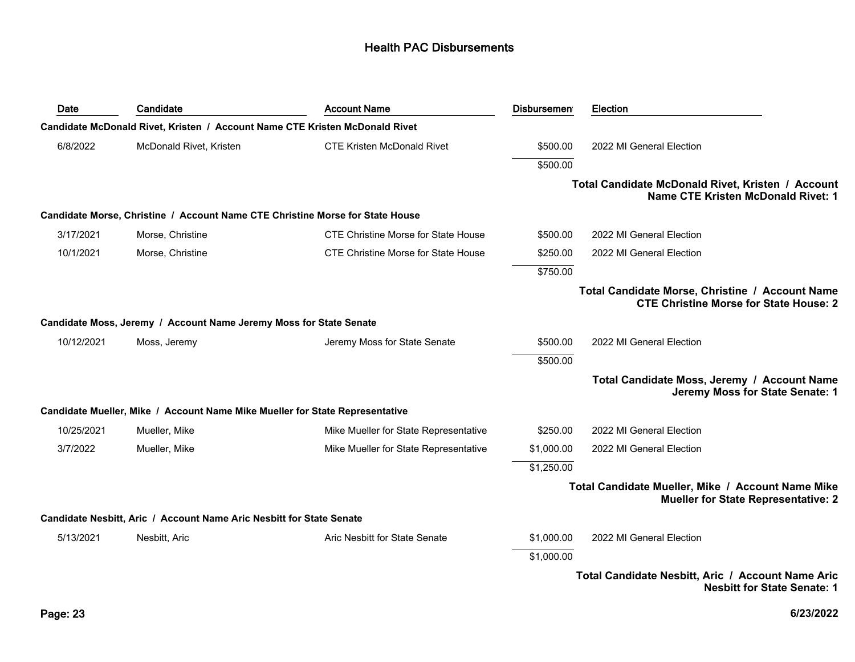| Date       | Candidate                                                                     | <b>Account Name</b>                        | <b>Disbursemen</b> | <b>Election</b>                                                                                  |
|------------|-------------------------------------------------------------------------------|--------------------------------------------|--------------------|--------------------------------------------------------------------------------------------------|
|            | Candidate McDonald Rivet, Kristen / Account Name CTE Kristen McDonald Rivet   |                                            |                    |                                                                                                  |
| 6/8/2022   | McDonald Rivet, Kristen                                                       | <b>CTE Kristen McDonald Rivet</b>          | \$500.00           | 2022 MI General Election                                                                         |
|            |                                                                               |                                            | \$500.00           |                                                                                                  |
|            |                                                                               |                                            |                    | Total Candidate McDonald Rivet, Kristen / Account<br><b>Name CTE Kristen McDonald Rivet: 1</b>   |
|            | Candidate Morse, Christine / Account Name CTE Christine Morse for State House |                                            |                    |                                                                                                  |
| 3/17/2021  | Morse, Christine                                                              | <b>CTE Christine Morse for State House</b> | \$500.00           | 2022 MI General Election                                                                         |
| 10/1/2021  | Morse, Christine                                                              | <b>CTE Christine Morse for State House</b> | \$250.00           | 2022 MI General Election                                                                         |
|            |                                                                               |                                            | \$750.00           |                                                                                                  |
|            |                                                                               |                                            |                    | Total Candidate Morse, Christine / Account Name<br><b>CTE Christine Morse for State House: 2</b> |
|            | Candidate Moss, Jeremy / Account Name Jeremy Moss for State Senate            |                                            |                    |                                                                                                  |
| 10/12/2021 | Moss, Jeremy                                                                  | Jeremy Moss for State Senate               | \$500.00           | 2022 MI General Election                                                                         |
|            |                                                                               |                                            | \$500.00           |                                                                                                  |
|            |                                                                               |                                            |                    | Total Candidate Moss, Jeremy / Account Name<br>Jeremy Moss for State Senate: 1                   |
|            | Candidate Mueller, Mike / Account Name Mike Mueller for State Representative  |                                            |                    |                                                                                                  |
| 10/25/2021 | Mueller, Mike                                                                 | Mike Mueller for State Representative      | \$250.00           | 2022 MI General Election                                                                         |
| 3/7/2022   | Mueller, Mike                                                                 | Mike Mueller for State Representative      | \$1,000.00         | 2022 MI General Election                                                                         |
|            |                                                                               |                                            | \$1,250.00         |                                                                                                  |
|            |                                                                               |                                            |                    | Total Candidate Mueller, Mike / Account Name Mike<br><b>Mueller for State Representative: 2</b>  |
|            | Candidate Nesbitt, Aric / Account Name Aric Nesbitt for State Senate          |                                            |                    |                                                                                                  |
| 5/13/2021  | Nesbitt, Aric                                                                 | Aric Nesbitt for State Senate              | \$1,000.00         | 2022 MI General Election                                                                         |
|            |                                                                               |                                            | \$1,000.00         |                                                                                                  |
|            |                                                                               |                                            |                    | Total Candidate Nesbitt, Aric / Account Name Aric<br><b>Nesbitt for State Senate: 1</b>          |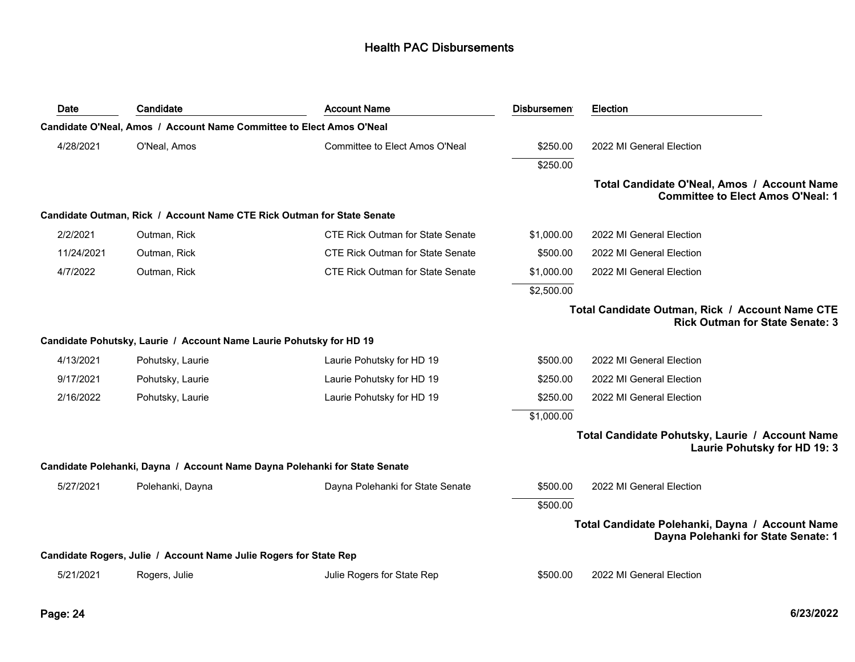| Date       | Candidate                                                                  | <b>Account Name</b>                     | <b>Disbursemen</b> | <b>Election</b>                                                                           |
|------------|----------------------------------------------------------------------------|-----------------------------------------|--------------------|-------------------------------------------------------------------------------------------|
|            | Candidate O'Neal, Amos / Account Name Committee to Elect Amos O'Neal       |                                         |                    |                                                                                           |
| 4/28/2021  | O'Neal, Amos                                                               | Committee to Elect Amos O'Neal          | \$250.00           | 2022 MI General Election                                                                  |
|            |                                                                            |                                         | \$250.00           |                                                                                           |
|            |                                                                            |                                         |                    | Total Candidate O'Neal, Amos / Account Name<br><b>Committee to Elect Amos O'Neal: 1</b>   |
|            | Candidate Outman, Rick / Account Name CTE Rick Outman for State Senate     |                                         |                    |                                                                                           |
| 2/2/2021   | Outman, Rick                                                               | <b>CTE Rick Outman for State Senate</b> | \$1,000.00         | 2022 MI General Election                                                                  |
| 11/24/2021 | Outman, Rick                                                               | <b>CTE Rick Outman for State Senate</b> | \$500.00           | 2022 MI General Election                                                                  |
| 4/7/2022   | Outman, Rick                                                               | <b>CTE Rick Outman for State Senate</b> | \$1,000.00         | 2022 MI General Election                                                                  |
|            |                                                                            |                                         | \$2,500.00         |                                                                                           |
|            |                                                                            |                                         |                    | Total Candidate Outman, Rick / Account Name CTE<br><b>Rick Outman for State Senate: 3</b> |
|            | Candidate Pohutsky, Laurie / Account Name Laurie Pohutsky for HD 19        |                                         |                    |                                                                                           |
| 4/13/2021  | Pohutsky, Laurie                                                           | Laurie Pohutsky for HD 19               | \$500.00           | 2022 MI General Election                                                                  |
| 9/17/2021  | Pohutsky, Laurie                                                           | Laurie Pohutsky for HD 19               | \$250.00           | 2022 MI General Election                                                                  |
| 2/16/2022  | Pohutsky, Laurie                                                           | Laurie Pohutsky for HD 19               | \$250.00           | 2022 MI General Election                                                                  |
|            |                                                                            |                                         | \$1,000.00         |                                                                                           |
|            |                                                                            |                                         |                    | Total Candidate Pohutsky, Laurie / Account Name<br>Laurie Pohutsky for HD 19: 3           |
|            | Candidate Polehanki, Dayna / Account Name Dayna Polehanki for State Senate |                                         |                    |                                                                                           |
| 5/27/2021  | Polehanki, Dayna                                                           | Dayna Polehanki for State Senate        | \$500.00           | 2022 MI General Election                                                                  |
|            |                                                                            |                                         | \$500.00           |                                                                                           |
|            |                                                                            |                                         |                    | Total Candidate Polehanki, Dayna / Account Name<br>Dayna Polehanki for State Senate: 1    |
|            | Candidate Rogers, Julie / Account Name Julie Rogers for State Rep          |                                         |                    |                                                                                           |
| 5/21/2021  | Rogers, Julie                                                              | Julie Rogers for State Rep              | \$500.00           | 2022 MI General Election                                                                  |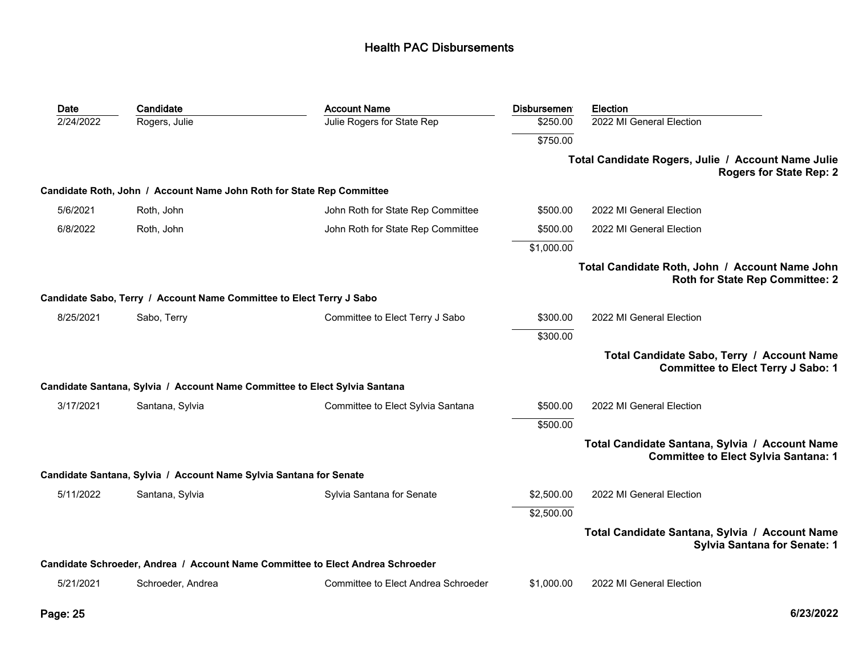| Date      | Candidate                                                             | <b>Account Name</b>                                                            | <b>Disbursemen</b> | Election                                                                                      |
|-----------|-----------------------------------------------------------------------|--------------------------------------------------------------------------------|--------------------|-----------------------------------------------------------------------------------------------|
| 2/24/2022 | Rogers, Julie                                                         | Julie Rogers for State Rep                                                     | \$250.00           | 2022 MI General Election                                                                      |
|           |                                                                       |                                                                                | \$750.00           |                                                                                               |
|           |                                                                       |                                                                                |                    | Total Candidate Rogers, Julie / Account Name Julie<br><b>Rogers for State Rep: 2</b>          |
|           | Candidate Roth, John / Account Name John Roth for State Rep Committee |                                                                                |                    |                                                                                               |
| 5/6/2021  | Roth, John                                                            | John Roth for State Rep Committee                                              | \$500.00           | 2022 MI General Election                                                                      |
| 6/8/2022  | Roth, John                                                            | John Roth for State Rep Committee                                              | \$500.00           | 2022 MI General Election                                                                      |
|           |                                                                       |                                                                                | \$1,000.00         |                                                                                               |
|           |                                                                       |                                                                                |                    | Total Candidate Roth, John / Account Name John<br><b>Roth for State Rep Committee: 2</b>      |
|           | Candidate Sabo, Terry / Account Name Committee to Elect Terry J Sabo  |                                                                                |                    |                                                                                               |
| 8/25/2021 | Sabo, Terry                                                           | Committee to Elect Terry J Sabo                                                | \$300.00           | 2022 MI General Election                                                                      |
|           |                                                                       |                                                                                | \$300.00           |                                                                                               |
|           |                                                                       |                                                                                |                    | Total Candidate Sabo, Terry / Account Name<br><b>Committee to Elect Terry J Sabo: 1</b>       |
|           |                                                                       | Candidate Santana, Sylvia / Account Name Committee to Elect Sylvia Santana     |                    |                                                                                               |
| 3/17/2021 | Santana, Sylvia                                                       | Committee to Elect Sylvia Santana                                              | \$500.00           | 2022 MI General Election                                                                      |
|           |                                                                       |                                                                                | \$500.00           |                                                                                               |
|           |                                                                       |                                                                                |                    | Total Candidate Santana, Sylvia / Account Name<br><b>Committee to Elect Sylvia Santana: 1</b> |
|           | Candidate Santana, Sylvia / Account Name Sylvia Santana for Senate    |                                                                                |                    |                                                                                               |
| 5/11/2022 | Santana, Sylvia                                                       | Sylvia Santana for Senate                                                      | \$2,500.00         | 2022 MI General Election                                                                      |
|           |                                                                       |                                                                                | \$2,500.00         |                                                                                               |
|           |                                                                       |                                                                                |                    | Total Candidate Santana, Sylvia / Account Name<br><b>Sylvia Santana for Senate: 1</b>         |
|           |                                                                       | Candidate Schroeder, Andrea / Account Name Committee to Elect Andrea Schroeder |                    |                                                                                               |
| 5/21/2021 | Schroeder, Andrea                                                     | Committee to Elect Andrea Schroeder                                            | \$1,000.00         | 2022 MI General Election                                                                      |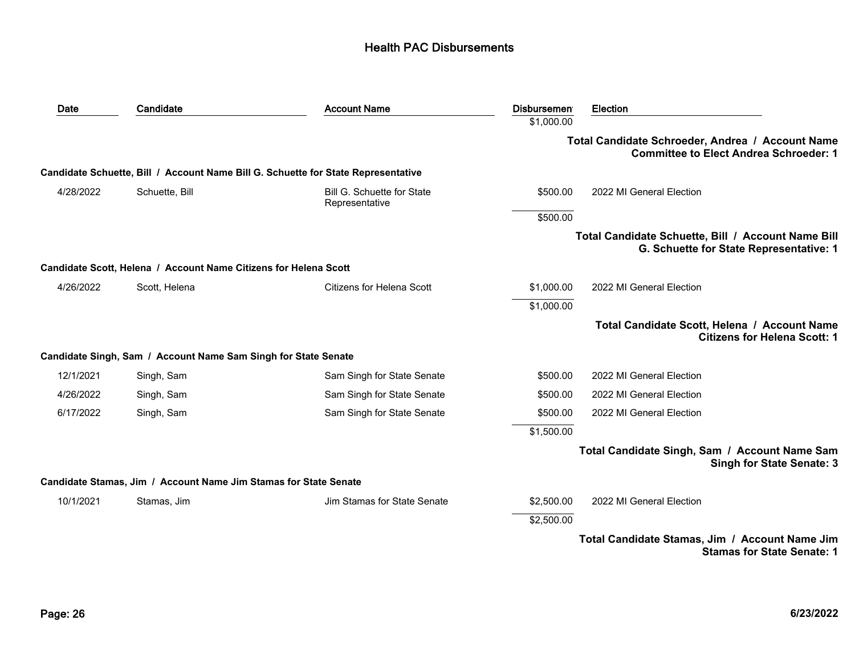| Date      | Candidate                                                        | <b>Account Name</b>                                                               | <b>Disbursemen</b> | Election                                                                                          |
|-----------|------------------------------------------------------------------|-----------------------------------------------------------------------------------|--------------------|---------------------------------------------------------------------------------------------------|
|           |                                                                  |                                                                                   | \$1,000.00         |                                                                                                   |
|           |                                                                  |                                                                                   |                    | Total Candidate Schroeder, Andrea / Account Name<br><b>Committee to Elect Andrea Schroeder: 1</b> |
|           |                                                                  | Candidate Schuette, Bill / Account Name Bill G. Schuette for State Representative |                    |                                                                                                   |
| 4/28/2022 | Schuette, Bill                                                   | Bill G. Schuette for State<br>Representative                                      | \$500.00           | 2022 MI General Election                                                                          |
|           |                                                                  |                                                                                   | \$500.00           |                                                                                                   |
|           |                                                                  |                                                                                   |                    | Total Candidate Schuette, Bill / Account Name Bill<br>G. Schuette for State Representative: 1     |
|           | Candidate Scott, Helena / Account Name Citizens for Helena Scott |                                                                                   |                    |                                                                                                   |
| 4/26/2022 | Scott, Helena                                                    | <b>Citizens for Helena Scott</b>                                                  | \$1,000.00         | 2022 MI General Election                                                                          |
|           |                                                                  |                                                                                   | \$1,000.00         |                                                                                                   |
|           |                                                                  |                                                                                   |                    | Total Candidate Scott, Helena / Account Name<br><b>Citizens for Helena Scott: 1</b>               |
|           | Candidate Singh, Sam / Account Name Sam Singh for State Senate   |                                                                                   |                    |                                                                                                   |
| 12/1/2021 | Singh, Sam                                                       | Sam Singh for State Senate                                                        | \$500.00           | 2022 MI General Election                                                                          |
| 4/26/2022 | Singh, Sam                                                       | Sam Singh for State Senate                                                        | \$500.00           | 2022 MI General Election                                                                          |
| 6/17/2022 | Singh, Sam                                                       | Sam Singh for State Senate                                                        | \$500.00           | 2022 MI General Election                                                                          |
|           |                                                                  |                                                                                   | \$1,500.00         |                                                                                                   |
|           |                                                                  |                                                                                   |                    | Total Candidate Singh, Sam / Account Name Sam<br><b>Singh for State Senate: 3</b>                 |
|           | Candidate Stamas, Jim / Account Name Jim Stamas for State Senate |                                                                                   |                    |                                                                                                   |
| 10/1/2021 | Stamas, Jim                                                      | Jim Stamas for State Senate                                                       | \$2,500.00         | 2022 MI General Election                                                                          |
|           |                                                                  |                                                                                   | \$2,500.00         |                                                                                                   |
|           |                                                                  |                                                                                   |                    | Total Candidate Stamas, Jim / Account Name Jim<br><b>Stamas for State Senate: 1</b>               |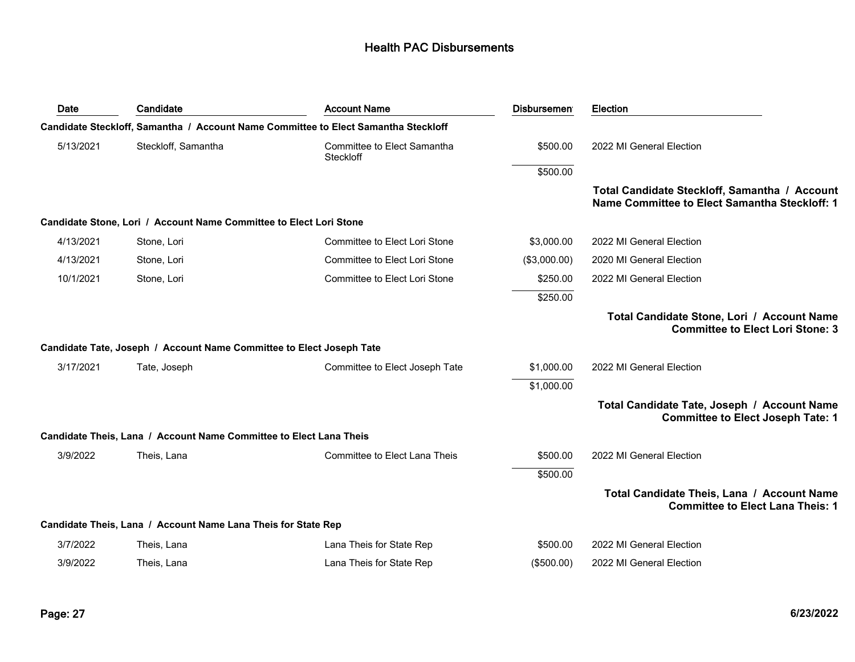| Date      | Candidate                                                            | <b>Account Name</b>                                                                | <b>Disbursemen</b> | Election                                                                                       |
|-----------|----------------------------------------------------------------------|------------------------------------------------------------------------------------|--------------------|------------------------------------------------------------------------------------------------|
|           |                                                                      | Candidate Steckloff, Samantha / Account Name Committee to Elect Samantha Steckloff |                    |                                                                                                |
| 5/13/2021 | Steckloff, Samantha                                                  | Committee to Elect Samantha<br>Steckloff                                           | \$500.00           | 2022 MI General Election                                                                       |
|           |                                                                      |                                                                                    | \$500.00           |                                                                                                |
|           |                                                                      |                                                                                    |                    | Total Candidate Steckloff, Samantha / Account<br>Name Committee to Elect Samantha Steckloff: 1 |
|           | Candidate Stone, Lori / Account Name Committee to Elect Lori Stone   |                                                                                    |                    |                                                                                                |
| 4/13/2021 | Stone, Lori                                                          | Committee to Elect Lori Stone                                                      | \$3,000.00         | 2022 MI General Election                                                                       |
| 4/13/2021 | Stone, Lori                                                          | Committee to Elect Lori Stone                                                      | (\$3,000.00)       | 2020 MI General Election                                                                       |
| 10/1/2021 | Stone, Lori                                                          | Committee to Elect Lori Stone                                                      | \$250.00           | 2022 MI General Election                                                                       |
|           |                                                                      |                                                                                    | \$250.00           |                                                                                                |
|           |                                                                      |                                                                                    |                    | Total Candidate Stone, Lori / Account Name<br><b>Committee to Elect Lori Stone: 3</b>          |
|           | Candidate Tate, Joseph / Account Name Committee to Elect Joseph Tate |                                                                                    |                    |                                                                                                |
| 3/17/2021 | Tate, Joseph                                                         | Committee to Elect Joseph Tate                                                     | \$1,000.00         | 2022 MI General Election                                                                       |
|           |                                                                      |                                                                                    | \$1,000.00         |                                                                                                |
|           |                                                                      |                                                                                    |                    | Total Candidate Tate, Joseph / Account Name<br><b>Committee to Elect Joseph Tate: 1</b>        |
|           | Candidate Theis, Lana / Account Name Committee to Elect Lana Theis   |                                                                                    |                    |                                                                                                |
| 3/9/2022  | Theis, Lana                                                          | Committee to Elect Lana Theis                                                      | \$500.00           | 2022 MI General Election                                                                       |
|           |                                                                      |                                                                                    | \$500.00           |                                                                                                |
|           |                                                                      |                                                                                    |                    | Total Candidate Theis, Lana / Account Name<br><b>Committee to Elect Lana Theis: 1</b>          |
|           | Candidate Theis, Lana / Account Name Lana Theis for State Rep        |                                                                                    |                    |                                                                                                |
| 3/7/2022  | Theis, Lana                                                          | Lana Theis for State Rep                                                           | \$500.00           | 2022 MI General Election                                                                       |
| 3/9/2022  | Theis, Lana                                                          | Lana Theis for State Rep                                                           | (\$500.00)         | 2022 MI General Election                                                                       |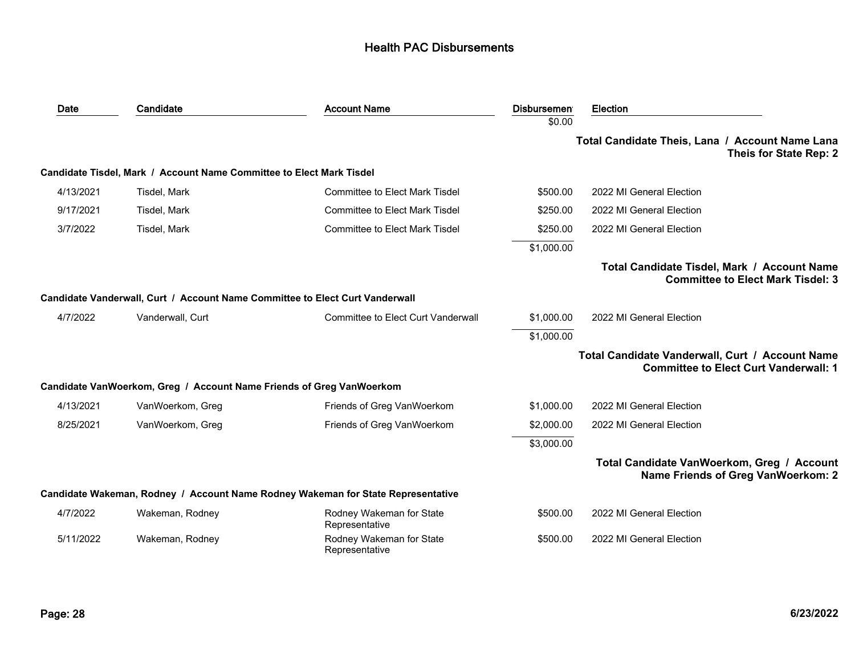| Date      | Candidate                                                                    | <b>Account Name</b>                                                              | <b>Disbursemen</b> | Election                                                                                        |
|-----------|------------------------------------------------------------------------------|----------------------------------------------------------------------------------|--------------------|-------------------------------------------------------------------------------------------------|
|           |                                                                              |                                                                                  | \$0.00             |                                                                                                 |
|           |                                                                              |                                                                                  |                    | Total Candidate Theis, Lana / Account Name Lana<br>Theis for State Rep: 2                       |
|           | Candidate Tisdel, Mark / Account Name Committee to Elect Mark Tisdel         |                                                                                  |                    |                                                                                                 |
| 4/13/2021 | Tisdel, Mark                                                                 | <b>Committee to Elect Mark Tisdel</b>                                            | \$500.00           | 2022 MI General Election                                                                        |
| 9/17/2021 | Tisdel, Mark                                                                 | <b>Committee to Elect Mark Tisdel</b>                                            | \$250.00           | 2022 MI General Election                                                                        |
| 3/7/2022  | Tisdel, Mark                                                                 | <b>Committee to Elect Mark Tisdel</b>                                            | \$250.00           | 2022 MI General Election                                                                        |
|           |                                                                              |                                                                                  | \$1,000.00         |                                                                                                 |
|           |                                                                              |                                                                                  |                    | Total Candidate Tisdel, Mark / Account Name<br><b>Committee to Elect Mark Tisdel: 3</b>         |
|           | Candidate Vanderwall, Curt / Account Name Committee to Elect Curt Vanderwall |                                                                                  |                    |                                                                                                 |
| 4/7/2022  | Vanderwall, Curt                                                             | <b>Committee to Elect Curt Vanderwall</b>                                        | \$1,000.00         | 2022 MI General Election                                                                        |
|           |                                                                              |                                                                                  | \$1,000.00         |                                                                                                 |
|           |                                                                              |                                                                                  |                    | Total Candidate Vanderwall, Curt / Account Name<br><b>Committee to Elect Curt Vanderwall: 1</b> |
|           | Candidate VanWoerkom, Greg / Account Name Friends of Greg VanWoerkom         |                                                                                  |                    |                                                                                                 |
| 4/13/2021 | VanWoerkom, Greg                                                             | Friends of Greg VanWoerkom                                                       | \$1,000.00         | 2022 MI General Election                                                                        |
| 8/25/2021 | VanWoerkom, Greg                                                             | Friends of Greg VanWoerkom                                                       | \$2,000.00         | 2022 MI General Election                                                                        |
|           |                                                                              |                                                                                  | \$3,000.00         |                                                                                                 |
|           |                                                                              |                                                                                  |                    | Total Candidate VanWoerkom, Greg / Account<br><b>Name Friends of Greg VanWoerkom: 2</b>         |
|           |                                                                              | Candidate Wakeman, Rodney / Account Name Rodney Wakeman for State Representative |                    |                                                                                                 |
| 4/7/2022  | Wakeman, Rodney                                                              | Rodney Wakeman for State<br>Representative                                       | \$500.00           | 2022 MI General Election                                                                        |
| 5/11/2022 | Wakeman, Rodney                                                              | Rodney Wakeman for State<br>Representative                                       | \$500.00           | 2022 MI General Election                                                                        |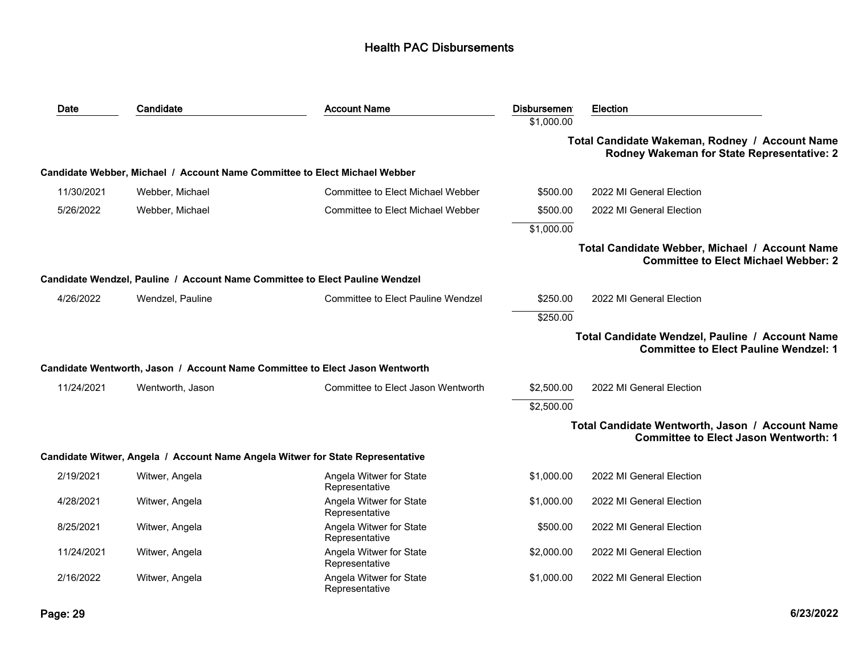| Date       | Candidate        | <b>Account Name</b>                                                            | <b>Disbursemen</b> | <b>Election</b>                                                                                 |
|------------|------------------|--------------------------------------------------------------------------------|--------------------|-------------------------------------------------------------------------------------------------|
|            |                  |                                                                                | \$1,000.00         |                                                                                                 |
|            |                  |                                                                                |                    | Total Candidate Wakeman, Rodney / Account Name<br>Rodney Wakeman for State Representative: 2    |
|            |                  | Candidate Webber, Michael / Account Name Committee to Elect Michael Webber     |                    |                                                                                                 |
| 11/30/2021 | Webber, Michael  | Committee to Elect Michael Webber                                              | \$500.00           | 2022 MI General Election                                                                        |
| 5/26/2022  | Webber, Michael  | Committee to Elect Michael Webber                                              | \$500.00           | 2022 MI General Election                                                                        |
|            |                  |                                                                                | \$1,000.00         |                                                                                                 |
|            |                  |                                                                                |                    | Total Candidate Webber, Michael / Account Name<br><b>Committee to Elect Michael Webber: 2</b>   |
|            |                  | Candidate Wendzel, Pauline / Account Name Committee to Elect Pauline Wendzel   |                    |                                                                                                 |
| 4/26/2022  | Wendzel, Pauline | Committee to Elect Pauline Wendzel                                             | \$250.00           | 2022 MI General Election                                                                        |
|            |                  |                                                                                | \$250.00           |                                                                                                 |
|            |                  |                                                                                |                    | Total Candidate Wendzel, Pauline / Account Name<br><b>Committee to Elect Pauline Wendzel: 1</b> |
|            |                  | Candidate Wentworth, Jason / Account Name Committee to Elect Jason Wentworth   |                    |                                                                                                 |
| 11/24/2021 | Wentworth, Jason | Committee to Elect Jason Wentworth                                             | \$2,500.00         | 2022 MI General Election                                                                        |
|            |                  |                                                                                | \$2,500.00         |                                                                                                 |
|            |                  |                                                                                |                    | Total Candidate Wentworth, Jason / Account Name<br><b>Committee to Elect Jason Wentworth: 1</b> |
|            |                  | Candidate Witwer, Angela / Account Name Angela Witwer for State Representative |                    |                                                                                                 |
| 2/19/2021  | Witwer, Angela   | Angela Witwer for State<br>Representative                                      | \$1,000.00         | 2022 MI General Election                                                                        |
| 4/28/2021  | Witwer, Angela   | Angela Witwer for State<br>Representative                                      | \$1,000.00         | 2022 MI General Election                                                                        |
| 8/25/2021  | Witwer, Angela   | Angela Witwer for State<br>Representative                                      | \$500.00           | 2022 MI General Election                                                                        |
| 11/24/2021 | Witwer, Angela   | Angela Witwer for State<br>Representative                                      | \$2,000.00         | 2022 MI General Election                                                                        |
| 2/16/2022  | Witwer, Angela   | Angela Witwer for State<br>Representative                                      | \$1,000.00         | 2022 MI General Election                                                                        |